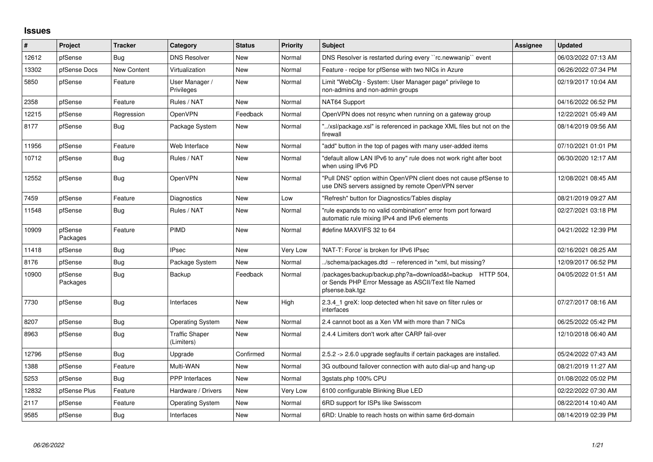## **Issues**

| ∦     | Project             | <b>Tracker</b>     | Category                            | <b>Status</b> | <b>Priority</b> | <b>Subject</b>                                                                                                                      | <b>Assignee</b> | <b>Updated</b>      |
|-------|---------------------|--------------------|-------------------------------------|---------------|-----------------|-------------------------------------------------------------------------------------------------------------------------------------|-----------------|---------------------|
| 12612 | pfSense             | Bug                | <b>DNS Resolver</b>                 | <b>New</b>    | Normal          | DNS Resolver is restarted during every "rc.newwanip" event                                                                          |                 | 06/03/2022 07:13 AM |
| 13302 | pfSense Docs        | <b>New Content</b> | Virtualization                      | New           | Normal          | Feature - recipe for pfSense with two NICs in Azure                                                                                 |                 | 06/26/2022 07:34 PM |
| 5850  | pfSense             | Feature            | User Manager /<br>Privileges        | <b>New</b>    | Normal          | Limit "WebCfg - System: User Manager page" privilege to<br>non-admins and non-admin groups                                          |                 | 02/19/2017 10:04 AM |
| 2358  | pfSense             | Feature            | Rules / NAT                         | <b>New</b>    | Normal          | NAT64 Support                                                                                                                       |                 | 04/16/2022 06:52 PM |
| 12215 | pfSense             | Regression         | OpenVPN                             | Feedback      | Normal          | OpenVPN does not resync when running on a gateway group                                                                             |                 | 12/22/2021 05:49 AM |
| 8177  | pfSense             | Bug                | Package System                      | New           | Normal          | "/xsl/package.xsl" is referenced in package XML files but not on the<br>firewall                                                    |                 | 08/14/2019 09:56 AM |
| 11956 | pfSense             | Feature            | Web Interface                       | <b>New</b>    | Normal          | "add" button in the top of pages with many user-added items                                                                         |                 | 07/10/2021 01:01 PM |
| 10712 | pfSense             | Bug                | Rules / NAT                         | New           | Normal          | "default allow LAN IPv6 to any" rule does not work right after boot<br>when using IPv6 PD                                           |                 | 06/30/2020 12:17 AM |
| 12552 | pfSense             | <b>Bug</b>         | OpenVPN                             | New           | Normal          | "Pull DNS" option within OpenVPN client does not cause pfSense to<br>use DNS servers assigned by remote OpenVPN server              |                 | 12/08/2021 08:45 AM |
| 7459  | pfSense             | Feature            | Diagnostics                         | <b>New</b>    | Low             | "Refresh" button for Diagnostics/Tables display                                                                                     |                 | 08/21/2019 09:27 AM |
| 11548 | pfSense             | <b>Bug</b>         | Rules / NAT                         | New           | Normal          | "rule expands to no valid combination" error from port forward<br>automatic rule mixing IPv4 and IPv6 elements                      |                 | 02/27/2021 03:18 PM |
| 10909 | pfSense<br>Packages | Feature            | PIMD                                | New           | Normal          | #define MAXVIFS 32 to 64                                                                                                            |                 | 04/21/2022 12:39 PM |
| 11418 | pfSense             | Bug                | <b>IPsec</b>                        | <b>New</b>    | Very Low        | 'NAT-T: Force' is broken for IPv6 IPsec                                                                                             |                 | 02/16/2021 08:25 AM |
| 8176  | pfSense             | <b>Bug</b>         | Package System                      | New           | Normal          | ./schema/packages.dtd -- referenced in *xml, but missing?                                                                           |                 | 12/09/2017 06:52 PM |
| 10900 | pfSense<br>Packages | <b>Bug</b>         | Backup                              | Feedback      | Normal          | /packages/backup/backup.php?a=download&t=backup HTTP 504,<br>or Sends PHP Error Message as ASCII/Text file Named<br>pfsense.bak.tgz |                 | 04/05/2022 01:51 AM |
| 7730  | pfSense             | <b>Bug</b>         | Interfaces                          | <b>New</b>    | High            | 2.3.4 1 greX: loop detected when hit save on filter rules or<br>interfaces                                                          |                 | 07/27/2017 08:16 AM |
| 8207  | pfSense             | <b>Bug</b>         | <b>Operating System</b>             | New           | Normal          | 2.4 cannot boot as a Xen VM with more than 7 NICs                                                                                   |                 | 06/25/2022 05:42 PM |
| 8963  | pfSense             | Bug                | <b>Traffic Shaper</b><br>(Limiters) | New           | Normal          | 2.4.4 Limiters don't work after CARP fail-over                                                                                      |                 | 12/10/2018 06:40 AM |
| 12796 | pfSense             | <b>Bug</b>         | Upgrade                             | Confirmed     | Normal          | 2.5.2 -> 2.6.0 upgrade segfaults if certain packages are installed.                                                                 |                 | 05/24/2022 07:43 AM |
| 1388  | pfSense             | Feature            | Multi-WAN                           | <b>New</b>    | Normal          | 3G outbound failover connection with auto dial-up and hang-up                                                                       |                 | 08/21/2019 11:27 AM |
| 5253  | pfSense             | <b>Bug</b>         | <b>PPP</b> Interfaces               | <b>New</b>    | Normal          | 3gstats.php 100% CPU                                                                                                                |                 | 01/08/2022 05:02 PM |
| 12832 | pfSense Plus        | Feature            | Hardware / Drivers                  | New           | Very Low        | 6100 configurable Blinking Blue LED                                                                                                 |                 | 02/22/2022 07:30 AM |
| 2117  | pfSense             | Feature            | <b>Operating System</b>             | New           | Normal          | 6RD support for ISPs like Swisscom                                                                                                  |                 | 08/22/2014 10:40 AM |
| 9585  | pfSense             | Bug                | <b>Interfaces</b>                   | <b>New</b>    | Normal          | 6RD: Unable to reach hosts on within same 6rd-domain                                                                                |                 | 08/14/2019 02:39 PM |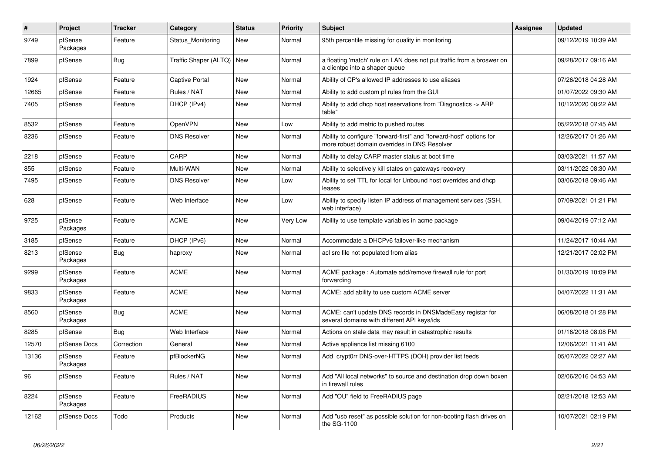| $\vert$ # | Project             | Tracker    | Category              | <b>Status</b> | <b>Priority</b> | <b>Subject</b>                                                                                                      | <b>Assignee</b> | <b>Updated</b>      |
|-----------|---------------------|------------|-----------------------|---------------|-----------------|---------------------------------------------------------------------------------------------------------------------|-----------------|---------------------|
| 9749      | pfSense<br>Packages | Feature    | Status Monitoring     | New           | Normal          | 95th percentile missing for quality in monitoring                                                                   |                 | 09/12/2019 10:39 AM |
| 7899      | pfSense             | <b>Bug</b> | Traffic Shaper (ALTQ) | New           | Normal          | a floating 'match' rule on LAN does not put traffic from a broswer on<br>a clientpc into a shaper queue             |                 | 09/28/2017 09:16 AM |
| 1924      | pfSense             | Feature    | Captive Portal        | New           | Normal          | Ability of CP's allowed IP addresses to use aliases                                                                 |                 | 07/26/2018 04:28 AM |
| 12665     | pfSense             | Feature    | Rules / NAT           | New           | Normal          | Ability to add custom pf rules from the GUI                                                                         |                 | 01/07/2022 09:30 AM |
| 7405      | pfSense             | Feature    | DHCP (IPv4)           | New           | Normal          | Ability to add dhcp host reservations from "Diagnostics -> ARP<br>table"                                            |                 | 10/12/2020 08:22 AM |
| 8532      | pfSense             | Feature    | OpenVPN               | New           | Low             | Ability to add metric to pushed routes                                                                              |                 | 05/22/2018 07:45 AM |
| 8236      | pfSense             | Feature    | <b>DNS Resolver</b>   | New           | Normal          | Ability to configure "forward-first" and "forward-host" options for<br>more robust domain overrides in DNS Resolver |                 | 12/26/2017 01:26 AM |
| 2218      | pfSense             | Feature    | CARP                  | New           | Normal          | Ability to delay CARP master status at boot time                                                                    |                 | 03/03/2021 11:57 AM |
| 855       | pfSense             | Feature    | Multi-WAN             | New           | Normal          | Ability to selectively kill states on gateways recovery                                                             |                 | 03/11/2022 08:30 AM |
| 7495      | pfSense             | Feature    | <b>DNS Resolver</b>   | New           | Low             | Ability to set TTL for local for Unbound host overrides and dhcp<br>leases                                          |                 | 03/06/2018 09:46 AM |
| 628       | pfSense             | Feature    | Web Interface         | New           | Low             | Ability to specify listen IP address of management services (SSH,<br>web interface)                                 |                 | 07/09/2021 01:21 PM |
| 9725      | pfSense<br>Packages | Feature    | <b>ACME</b>           | New           | Very Low        | Ability to use template variables in acme package                                                                   |                 | 09/04/2019 07:12 AM |
| 3185      | pfSense             | Feature    | DHCP (IPv6)           | New           | Normal          | Accommodate a DHCPv6 failover-like mechanism                                                                        |                 | 11/24/2017 10:44 AM |
| 8213      | pfSense<br>Packages | <b>Bug</b> | haproxy               | New           | Normal          | acl src file not populated from alias                                                                               |                 | 12/21/2017 02:02 PM |
| 9299      | pfSense<br>Packages | Feature    | <b>ACME</b>           | New           | Normal          | ACME package : Automate add/remove firewall rule for port<br>forwarding                                             |                 | 01/30/2019 10:09 PM |
| 9833      | pfSense<br>Packages | Feature    | <b>ACME</b>           | New           | Normal          | ACME: add ability to use custom ACME server                                                                         |                 | 04/07/2022 11:31 AM |
| 8560      | pfSense<br>Packages | <b>Bug</b> | <b>ACME</b>           | New           | Normal          | ACME: can't update DNS records in DNSMadeEasy registar for<br>several domains with different API keys/ids           |                 | 06/08/2018 01:28 PM |
| 8285      | pfSense             | <b>Bug</b> | Web Interface         | New           | Normal          | Actions on stale data may result in catastrophic results                                                            |                 | 01/16/2018 08:08 PM |
| 12570     | pfSense Docs        | Correction | General               | New           | Normal          | Active appliance list missing 6100                                                                                  |                 | 12/06/2021 11:41 AM |
| 13136     | pfSense<br>Packages | Feature    | pfBlockerNG           | New           | Normal          | Add crypt0rr DNS-over-HTTPS (DOH) provider list feeds                                                               |                 | 05/07/2022 02:27 AM |
| 96        | pfSense             | Feature    | Rules / NAT           | New           | Normal          | Add "All local networks" to source and destination drop down boxen<br>in firewall rules                             |                 | 02/06/2016 04:53 AM |
| 8224      | pfSense<br>Packages | Feature    | FreeRADIUS            | New           | Normal          | Add "OU" field to FreeRADIUS page                                                                                   |                 | 02/21/2018 12:53 AM |
| 12162     | pfSense Docs        | Todo       | Products              | New           | Normal          | Add "usb reset" as possible solution for non-booting flash drives on<br>the SG-1100                                 |                 | 10/07/2021 02:19 PM |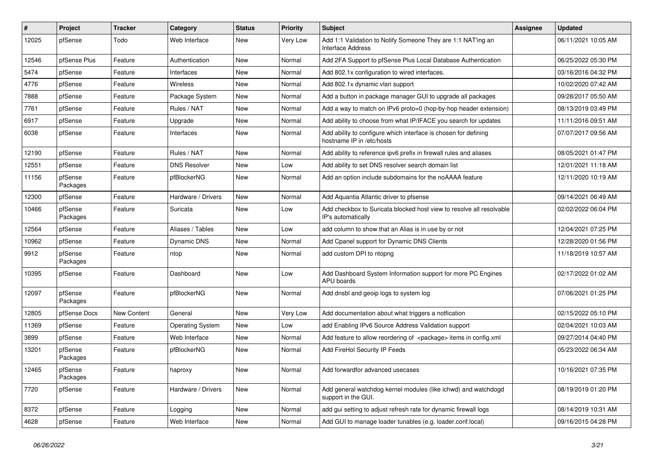| $\sharp$ | Project             | <b>Tracker</b>     | Category                | <b>Status</b> | <b>Priority</b> | <b>Subject</b>                                                                               | <b>Assignee</b> | <b>Updated</b>      |
|----------|---------------------|--------------------|-------------------------|---------------|-----------------|----------------------------------------------------------------------------------------------|-----------------|---------------------|
| 12025    | pfSense             | Todo               | Web Interface           | New           | Very Low        | Add 1:1 Validation to Notify Someone They are 1:1 NAT'ing an<br>Interface Address            |                 | 06/11/2021 10:05 AM |
| 12546    | pfSense Plus        | Feature            | Authentication          | New           | Normal          | Add 2FA Support to pfSense Plus Local Database Authentication                                |                 | 06/25/2022 05:30 PM |
| 5474     | pfSense             | Feature            | Interfaces              | New           | Normal          | Add 802.1x configuration to wired interfaces.                                                |                 | 03/16/2016 04:32 PM |
| 4776     | pfSense             | Feature            | <b>Wireless</b>         | New           | Normal          | Add 802.1x dynamic vlan support                                                              |                 | 10/02/2020 07:42 AM |
| 7888     | pfSense             | Feature            | Package System          | New           | Normal          | Add a button in package manager GUI to upgrade all packages                                  |                 | 09/28/2017 05:50 AM |
| 7761     | pfSense             | Feature            | Rules / NAT             | New           | Normal          | Add a way to match on IPv6 proto=0 (hop-by-hop header extension)                             |                 | 08/13/2019 03:49 PM |
| 6917     | pfSense             | Feature            | Upgrade                 | New           | Normal          | Add ability to choose from what IP/IFACE you search for updates                              |                 | 11/11/2016 09:51 AM |
| 6038     | pfSense             | Feature            | Interfaces              | New           | Normal          | Add ability to configure which interface is chosen for defining<br>hostname IP in /etc/hosts |                 | 07/07/2017 09:56 AM |
| 12190    | pfSense             | Feature            | Rules / NAT             | New           | Normal          | Add ability to reference ipv6 prefix in firewall rules and aliases                           |                 | 08/05/2021 01:47 PM |
| 12551    | pfSense             | Feature            | <b>DNS Resolver</b>     | <b>New</b>    | Low             | Add ability to set DNS resolver search domain list                                           |                 | 12/01/2021 11:18 AM |
| 11156    | pfSense<br>Packages | Feature            | pfBlockerNG             | New           | Normal          | Add an option include subdomains for the noAAAA feature                                      |                 | 12/11/2020 10:19 AM |
| 12300    | pfSense             | Feature            | Hardware / Drivers      | New           | Normal          | Add Aquantia Atlantic driver to pfsense                                                      |                 | 09/14/2021 06:49 AM |
| 10466    | pfSense<br>Packages | Feature            | Suricata                | New           | Low             | Add checkbox to Suricata blocked host view to resolve all resolvable<br>IP's automatically   |                 | 02/02/2022 06:04 PM |
| 12564    | pfSense             | Feature            | Aliases / Tables        | New           | Low             | add column to show that an Alias is in use by or not                                         |                 | 12/04/2021 07:25 PM |
| 10962    | pfSense             | Feature            | Dynamic DNS             | New           | Normal          | Add Cpanel support for Dynamic DNS Clients                                                   |                 | 12/28/2020 01:56 PM |
| 9912     | pfSense<br>Packages | Feature            | ntop                    | New           | Normal          | add custom DPI to ntopng                                                                     |                 | 11/18/2019 10:57 AM |
| 10395    | pfSense             | Feature            | Dashboard               | <b>New</b>    | Low             | Add Dashboard System Information support for more PC Engines<br>APU boards                   |                 | 02/17/2022 01:02 AM |
| 12097    | pfSense<br>Packages | Feature            | pfBlockerNG             | New           | Normal          | Add dnsbl and geoip logs to system log                                                       |                 | 07/06/2021 01:25 PM |
| 12805    | pfSense Docs        | <b>New Content</b> | General                 | New           | Very Low        | Add documentation about what triggers a notfication                                          |                 | 02/15/2022 05:10 PM |
| 11369    | pfSense             | Feature            | <b>Operating System</b> | New           | Low             | add Enabling IPv6 Source Address Validation support                                          |                 | 02/04/2021 10:03 AM |
| 3899     | pfSense             | Feature            | Web Interface           | <b>New</b>    | Normal          | Add feature to allow reordering of <package> items in config.xml</package>                   |                 | 09/27/2014 04:40 PM |
| 13201    | pfSense<br>Packages | Feature            | pfBlockerNG             | New           | Normal          | Add FireHol Security IP Feeds                                                                |                 | 05/23/2022 06:34 AM |
| 12465    | pfSense<br>Packages | Feature            | haproxy                 | New           | Normal          | Add forwardfor advanced usecases                                                             |                 | 10/16/2021 07:35 PM |
| 7720     | pfSense             | Feature            | Hardware / Drivers      | New           | Normal          | Add general watchdog kernel modules (like ichwd) and watchdogd<br>support in the GUI.        |                 | 08/19/2019 01:20 PM |
| 8372     | pfSense             | Feature            | Logging                 | New           | Normal          | add gui setting to adjust refresh rate for dynamic firewall logs                             |                 | 08/14/2019 10:31 AM |
| 4628     | pfSense             | Feature            | Web Interface           | New           | Normal          | Add GUI to manage loader tunables (e.g. loader.conf.local)                                   |                 | 09/16/2015 04:28 PM |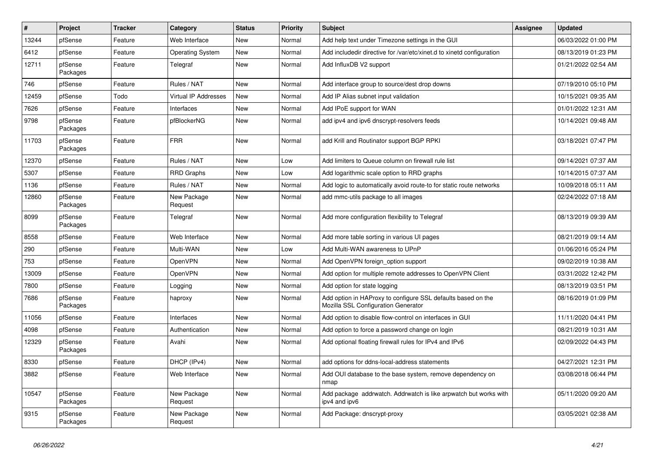| #     | Project             | <b>Tracker</b> | Category                    | <b>Status</b> | <b>Priority</b> | <b>Subject</b>                                                                                      | <b>Assignee</b> | <b>Updated</b>      |
|-------|---------------------|----------------|-----------------------------|---------------|-----------------|-----------------------------------------------------------------------------------------------------|-----------------|---------------------|
| 13244 | pfSense             | Feature        | Web Interface               | New           | Normal          | Add help text under Timezone settings in the GUI                                                    |                 | 06/03/2022 01:00 PM |
| 6412  | pfSense             | Feature        | <b>Operating System</b>     | <b>New</b>    | Normal          | Add includedir directive for /var/etc/xinet.d to xinetd configuration                               |                 | 08/13/2019 01:23 PM |
| 12711 | pfSense<br>Packages | Feature        | Telegraf                    | New           | Normal          | Add InfluxDB V2 support                                                                             |                 | 01/21/2022 02:54 AM |
| 746   | pfSense             | Feature        | Rules / NAT                 | New           | Normal          | Add interface group to source/dest drop downs                                                       |                 | 07/19/2010 05:10 PM |
| 12459 | pfSense             | Todo           | <b>Virtual IP Addresses</b> | New           | Normal          | Add IP Alias subnet input validation                                                                |                 | 10/15/2021 09:35 AM |
| 7626  | pfSense             | Feature        | Interfaces                  | New           | Normal          | Add IPoE support for WAN                                                                            |                 | 01/01/2022 12:31 AM |
| 9798  | pfSense<br>Packages | Feature        | pfBlockerNG                 | New           | Normal          | add ipv4 and ipv6 dnscrypt-resolvers feeds                                                          |                 | 10/14/2021 09:48 AM |
| 11703 | pfSense<br>Packages | Feature        | <b>FRR</b>                  | New           | Normal          | add Krill and Routinator support BGP RPKI                                                           |                 | 03/18/2021 07:47 PM |
| 12370 | pfSense             | Feature        | Rules / NAT                 | New           | Low             | Add limiters to Queue column on firewall rule list                                                  |                 | 09/14/2021 07:37 AM |
| 5307  | pfSense             | Feature        | <b>RRD Graphs</b>           | New           | Low             | Add logarithmic scale option to RRD graphs                                                          |                 | 10/14/2015 07:37 AM |
| 1136  | pfSense             | Feature        | Rules / NAT                 | <b>New</b>    | Normal          | Add logic to automatically avoid route-to for static route networks                                 |                 | 10/09/2018 05:11 AM |
| 12860 | pfSense<br>Packages | Feature        | New Package<br>Request      | <b>New</b>    | Normal          | add mmc-utils package to all images                                                                 |                 | 02/24/2022 07:18 AM |
| 8099  | pfSense<br>Packages | Feature        | Telegraf                    | New           | Normal          | Add more configuration flexibility to Telegraf                                                      |                 | 08/13/2019 09:39 AM |
| 8558  | pfSense             | Feature        | Web Interface               | New           | Normal          | Add more table sorting in various UI pages                                                          |                 | 08/21/2019 09:14 AM |
| 290   | pfSense             | Feature        | Multi-WAN                   | New           | Low             | Add Multi-WAN awareness to UPnP                                                                     |                 | 01/06/2016 05:24 PM |
| 753   | pfSense             | Feature        | OpenVPN                     | New           | Normal          | Add OpenVPN foreign option support                                                                  |                 | 09/02/2019 10:38 AM |
| 13009 | pfSense             | Feature        | OpenVPN                     | New           | Normal          | Add option for multiple remote addresses to OpenVPN Client                                          |                 | 03/31/2022 12:42 PM |
| 7800  | pfSense             | Feature        | Logging                     | New           | Normal          | Add option for state logging                                                                        |                 | 08/13/2019 03:51 PM |
| 7686  | pfSense<br>Packages | Feature        | haproxy                     | New           | Normal          | Add option in HAProxy to configure SSL defaults based on the<br>Mozilla SSL Configuration Generator |                 | 08/16/2019 01:09 PM |
| 11056 | pfSense             | Feature        | Interfaces                  | <b>New</b>    | Normal          | Add option to disable flow-control on interfaces in GUI                                             |                 | 11/11/2020 04:41 PM |
| 4098  | pfSense             | Feature        | Authentication              | New           | Normal          | Add option to force a password change on login                                                      |                 | 08/21/2019 10:31 AM |
| 12329 | pfSense<br>Packages | Feature        | Avahi                       | <b>New</b>    | Normal          | Add optional floating firewall rules for IPv4 and IPv6                                              |                 | 02/09/2022 04:43 PM |
| 8330  | pfSense             | Feature        | DHCP (IPv4)                 | New           | Normal          | add options for ddns-local-address statements                                                       |                 | 04/27/2021 12:31 PM |
| 3882  | pfSense             | Feature        | Web Interface               | New           | Normal          | Add OUI database to the base system, remove dependency on<br>nmap                                   |                 | 03/08/2018 06:44 PM |
| 10547 | pfSense<br>Packages | Feature        | New Package<br>Request      | New           | Normal          | Add package addrwatch. Addrwatch is like arpwatch but works with<br>ipv4 and ipv6                   |                 | 05/11/2020 09:20 AM |
| 9315  | pfSense<br>Packages | Feature        | New Package<br>Request      | New           | Normal          | Add Package: dnscrypt-proxy                                                                         |                 | 03/05/2021 02:38 AM |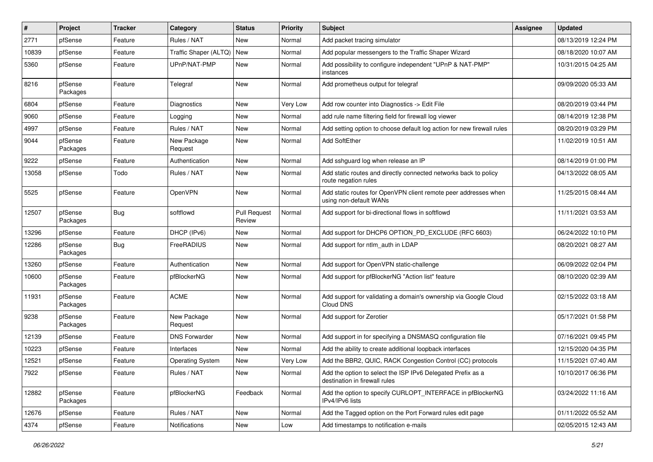| $\sharp$ | Project             | <b>Tracker</b> | Category                | <b>Status</b>                 | <b>Priority</b> | <b>Subject</b>                                                                               | Assignee | <b>Updated</b>      |
|----------|---------------------|----------------|-------------------------|-------------------------------|-----------------|----------------------------------------------------------------------------------------------|----------|---------------------|
| 2771     | pfSense             | Feature        | Rules / NAT             | New                           | Normal          | Add packet tracing simulator                                                                 |          | 08/13/2019 12:24 PM |
| 10839    | pfSense             | Feature        | Traffic Shaper (ALTQ)   | <b>New</b>                    | Normal          | Add popular messengers to the Traffic Shaper Wizard                                          |          | 08/18/2020 10:07 AM |
| 5360     | pfSense             | Feature        | UPnP/NAT-PMP            | New                           | Normal          | Add possibility to configure independent "UPnP & NAT-PMP"<br>instances                       |          | 10/31/2015 04:25 AM |
| 8216     | pfSense<br>Packages | Feature        | Telegraf                | New                           | Normal          | Add prometheus output for telegraf                                                           |          | 09/09/2020 05:33 AM |
| 6804     | pfSense             | Feature        | Diagnostics             | New                           | Very Low        | Add row counter into Diagnostics -> Edit File                                                |          | 08/20/2019 03:44 PM |
| 9060     | pfSense             | Feature        | Logging                 | <b>New</b>                    | Normal          | add rule name filtering field for firewall log viewer                                        |          | 08/14/2019 12:38 PM |
| 4997     | pfSense             | Feature        | Rules / NAT             | New                           | Normal          | Add setting option to choose default log action for new firewall rules                       |          | 08/20/2019 03:29 PM |
| 9044     | pfSense<br>Packages | Feature        | New Package<br>Request  | New                           | Normal          | Add SoftEther                                                                                |          | 11/02/2019 10:51 AM |
| 9222     | pfSense             | Feature        | Authentication          | New                           | Normal          | Add sshguard log when release an IP                                                          |          | 08/14/2019 01:00 PM |
| 13058    | pfSense             | Todo           | Rules / NAT             | New                           | Normal          | Add static routes and directly connected networks back to policy<br>route negation rules     |          | 04/13/2022 08:05 AM |
| 5525     | pfSense             | Feature        | OpenVPN                 | New                           | Normal          | Add static routes for OpenVPN client remote peer addresses when<br>using non-default WANs    |          | 11/25/2015 08:44 AM |
| 12507    | pfSense<br>Packages | Bug            | softflowd               | <b>Pull Request</b><br>Review | Normal          | Add support for bi-directional flows in softflowd                                            |          | 11/11/2021 03:53 AM |
| 13296    | pfSense             | Feature        | DHCP (IPv6)             | New                           | Normal          | Add support for DHCP6 OPTION_PD_EXCLUDE (RFC 6603)                                           |          | 06/24/2022 10:10 PM |
| 12286    | pfSense<br>Packages | Bug            | FreeRADIUS              | New                           | Normal          | Add support for ntlm auth in LDAP                                                            |          | 08/20/2021 08:27 AM |
| 13260    | pfSense             | Feature        | Authentication          | New                           | Normal          | Add support for OpenVPN static-challenge                                                     |          | 06/09/2022 02:04 PM |
| 10600    | pfSense<br>Packages | Feature        | pfBlockerNG             | New                           | Normal          | Add support for pfBlockerNG "Action list" feature                                            |          | 08/10/2020 02:39 AM |
| 11931    | pfSense<br>Packages | Feature        | <b>ACME</b>             | New                           | Normal          | Add support for validating a domain's ownership via Google Cloud<br>Cloud DNS                |          | 02/15/2022 03:18 AM |
| 9238     | pfSense<br>Packages | Feature        | New Package<br>Request  | New                           | Normal          | Add support for Zerotier                                                                     |          | 05/17/2021 01:58 PM |
| 12139    | pfSense             | Feature        | <b>DNS Forwarder</b>    | New                           | Normal          | Add support in for specifying a DNSMASQ configuration file                                   |          | 07/16/2021 09:45 PM |
| 10223    | pfSense             | Feature        | Interfaces              | New                           | Normal          | Add the ability to create additional loopback interfaces                                     |          | 12/15/2020 04:35 PM |
| 12521    | pfSense             | Feature        | <b>Operating System</b> | New                           | Very Low        | Add the BBR2, QUIC, RACK Congestion Control (CC) protocols                                   |          | 11/15/2021 07:40 AM |
| 7922     | pfSense             | Feature        | Rules / NAT             | New                           | Normal          | Add the option to select the ISP IPv6 Delegated Prefix as a<br>destination in firewall rules |          | 10/10/2017 06:36 PM |
| 12882    | pfSense<br>Packages | Feature        | pfBlockerNG             | Feedback                      | Normal          | Add the option to specify CURLOPT INTERFACE in pfBlockerNG<br>IPv4/IPv6 lists                |          | 03/24/2022 11:16 AM |
| 12676    | pfSense             | Feature        | Rules / NAT             | New                           | Normal          | Add the Tagged option on the Port Forward rules edit page                                    |          | 01/11/2022 05:52 AM |
| 4374     | pfSense             | Feature        | Notifications           | New                           | Low             | Add timestamps to notification e-mails                                                       |          | 02/05/2015 12:43 AM |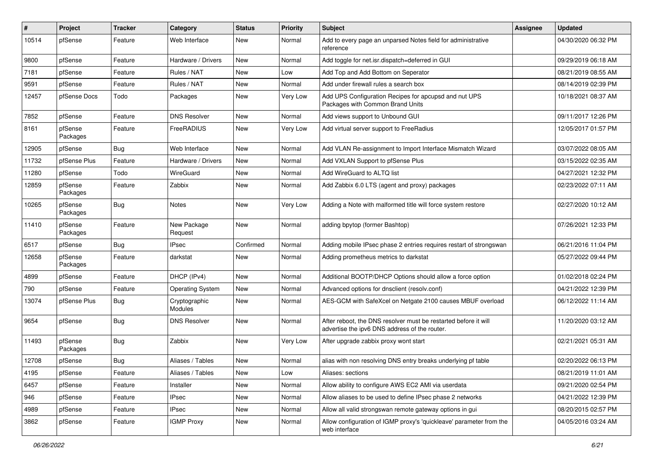| #     | Project             | <b>Tracker</b> | Category                 | <b>Status</b> | <b>Priority</b> | <b>Subject</b>                                                                                                   | Assignee | <b>Updated</b>      |
|-------|---------------------|----------------|--------------------------|---------------|-----------------|------------------------------------------------------------------------------------------------------------------|----------|---------------------|
| 10514 | pfSense             | Feature        | Web Interface            | New           | Normal          | Add to every page an unparsed Notes field for administrative<br>reference                                        |          | 04/30/2020 06:32 PM |
| 9800  | pfSense             | Feature        | Hardware / Drivers       | New           | Normal          | Add toggle for net.isr.dispatch=deferred in GUI                                                                  |          | 09/29/2019 06:18 AM |
| 7181  | pfSense             | Feature        | Rules / NAT              | New           | Low             | Add Top and Add Bottom on Seperator                                                                              |          | 08/21/2019 08:55 AM |
| 9591  | pfSense             | Feature        | Rules / NAT              | <b>New</b>    | Normal          | Add under firewall rules a search box                                                                            |          | 08/14/2019 02:39 PM |
| 12457 | pfSense Docs        | Todo           | Packages                 | New           | Very Low        | Add UPS Configuration Recipes for apcupsd and nut UPS<br>Packages with Common Brand Units                        |          | 10/18/2021 08:37 AM |
| 7852  | pfSense             | Feature        | <b>DNS Resolver</b>      | New           | Normal          | Add views support to Unbound GUI                                                                                 |          | 09/11/2017 12:26 PM |
| 8161  | pfSense<br>Packages | Feature        | FreeRADIUS               | New           | Very Low        | Add virtual server support to FreeRadius                                                                         |          | 12/05/2017 01:57 PM |
| 12905 | pfSense             | Bug            | Web Interface            | New           | Normal          | Add VLAN Re-assignment to Import Interface Mismatch Wizard                                                       |          | 03/07/2022 08:05 AM |
| 11732 | pfSense Plus        | Feature        | Hardware / Drivers       | New           | Normal          | Add VXLAN Support to pfSense Plus                                                                                |          | 03/15/2022 02:35 AM |
| 11280 | pfSense             | Todo           | WireGuard                | <b>New</b>    | Normal          | Add WireGuard to ALTQ list                                                                                       |          | 04/27/2021 12:32 PM |
| 12859 | pfSense<br>Packages | Feature        | Zabbix                   | New           | Normal          | Add Zabbix 6.0 LTS (agent and proxy) packages                                                                    |          | 02/23/2022 07:11 AM |
| 10265 | pfSense<br>Packages | Bug            | <b>Notes</b>             | New           | Very Low        | Adding a Note with malformed title will force system restore                                                     |          | 02/27/2020 10:12 AM |
| 11410 | pfSense<br>Packages | Feature        | New Package<br>Request   | New           | Normal          | adding bpytop (former Bashtop)                                                                                   |          | 07/26/2021 12:33 PM |
| 6517  | pfSense             | Bug            | <b>IPsec</b>             | Confirmed     | Normal          | Adding mobile IPsec phase 2 entries requires restart of strongswan                                               |          | 06/21/2016 11:04 PM |
| 12658 | pfSense<br>Packages | Feature        | darkstat                 | New           | Normal          | Adding prometheus metrics to darkstat                                                                            |          | 05/27/2022 09:44 PM |
| 4899  | pfSense             | Feature        | DHCP (IPv4)              | New           | Normal          | Additional BOOTP/DHCP Options should allow a force option                                                        |          | 01/02/2018 02:24 PM |
| 790   | pfSense             | Feature        | Operating System         | <b>New</b>    | Normal          | Advanced options for dnsclient (resolv.conf)                                                                     |          | 04/21/2022 12:39 PM |
| 13074 | pfSense Plus        | Bug            | Cryptographic<br>Modules | New           | Normal          | AES-GCM with SafeXcel on Netgate 2100 causes MBUF overload                                                       |          | 06/12/2022 11:14 AM |
| 9654  | pfSense             | Bug            | <b>DNS Resolver</b>      | New           | Normal          | After reboot, the DNS resolver must be restarted before it will<br>advertise the ipv6 DNS address of the router. |          | 11/20/2020 03:12 AM |
| 11493 | pfSense<br>Packages | Bug            | Zabbix                   | New           | Very Low        | After upgrade zabbix proxy wont start                                                                            |          | 02/21/2021 05:31 AM |
| 12708 | pfSense             | Bug            | Aliases / Tables         | New           | Normal          | alias with non resolving DNS entry breaks underlying pf table                                                    |          | 02/20/2022 06:13 PM |
| 4195  | pfSense             | Feature        | Aliases / Tables         | New           | Low             | Aliases: sections                                                                                                |          | 08/21/2019 11:01 AM |
| 6457  | pfSense             | Feature        | Installer                | New           | Normal          | Allow ability to configure AWS EC2 AMI via userdata                                                              |          | 09/21/2020 02:54 PM |
| 946   | pfSense             | Feature        | <b>IPsec</b>             | New           | Normal          | Allow aliases to be used to define IPsec phase 2 networks                                                        |          | 04/21/2022 12:39 PM |
| 4989  | pfSense             | Feature        | <b>IPsec</b>             | New           | Normal          | Allow all valid strongswan remote gateway options in gui                                                         |          | 08/20/2015 02:57 PM |
| 3862  | pfSense             | Feature        | <b>IGMP Proxy</b>        | New           | Normal          | Allow configuration of IGMP proxy's 'quickleave' parameter from the<br>web interface                             |          | 04/05/2016 03:24 AM |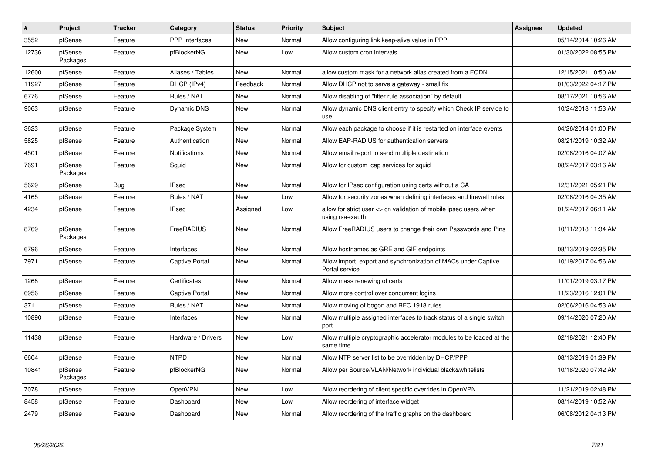| #     | Project             | <b>Tracker</b> | Category              | <b>Status</b> | Priority | <b>Subject</b>                                                                       | <b>Assignee</b> | <b>Updated</b>      |
|-------|---------------------|----------------|-----------------------|---------------|----------|--------------------------------------------------------------------------------------|-----------------|---------------------|
| 3552  | pfSense             | Feature        | PPP Interfaces        | New           | Normal   | Allow configuring link keep-alive value in PPP                                       |                 | 05/14/2014 10:26 AM |
| 12736 | pfSense<br>Packages | Feature        | pfBlockerNG           | New           | Low      | Allow custom cron intervals                                                          |                 | 01/30/2022 08:55 PM |
| 12600 | pfSense             | Feature        | Aliases / Tables      | New           | Normal   | allow custom mask for a network alias created from a FQDN                            |                 | 12/15/2021 10:50 AM |
| 11927 | pfSense             | Feature        | DHCP (IPv4)           | Feedback      | Normal   | Allow DHCP not to serve a gateway - small fix                                        |                 | 01/03/2022 04:17 PM |
| 6776  | pfSense             | Feature        | Rules / NAT           | New           | Normal   | Allow disabling of "filter rule association" by default                              |                 | 08/17/2021 10:56 AM |
| 9063  | pfSense             | Feature        | Dynamic DNS           | New           | Normal   | Allow dynamic DNS client entry to specify which Check IP service to<br>use           |                 | 10/24/2018 11:53 AM |
| 3623  | pfSense             | Feature        | Package System        | New           | Normal   | Allow each package to choose if it is restarted on interface events                  |                 | 04/26/2014 01:00 PM |
| 5825  | pfSense             | Feature        | Authentication        | New           | Normal   | Allow EAP-RADIUS for authentication servers                                          |                 | 08/21/2019 10:32 AM |
| 4501  | pfSense             | Feature        | <b>Notifications</b>  | New           | Normal   | Allow email report to send multiple destination                                      |                 | 02/06/2016 04:07 AM |
| 7691  | pfSense<br>Packages | Feature        | Squid                 | New           | Normal   | Allow for custom icap services for squid                                             |                 | 08/24/2017 03:16 AM |
| 5629  | pfSense             | Bug            | <b>IPsec</b>          | New           | Normal   | Allow for IPsec configuration using certs without a CA                               |                 | 12/31/2021 05:21 PM |
| 4165  | pfSense             | Feature        | Rules / NAT           | <b>New</b>    | Low      | Allow for security zones when defining interfaces and firewall rules.                |                 | 02/06/2016 04:35 AM |
| 4234  | pfSense             | Feature        | <b>IPsec</b>          | Assigned      | Low      | allow for strict user <> cn validation of mobile ipsec users when<br>using rsa+xauth |                 | 01/24/2017 06:11 AM |
| 8769  | pfSense<br>Packages | Feature        | FreeRADIUS            | New           | Normal   | Allow FreeRADIUS users to change their own Passwords and Pins                        |                 | 10/11/2018 11:34 AM |
| 6796  | pfSense             | Feature        | Interfaces            | New           | Normal   | Allow hostnames as GRE and GIF endpoints                                             |                 | 08/13/2019 02:35 PM |
| 7971  | pfSense             | Feature        | <b>Captive Portal</b> | New           | Normal   | Allow import, export and synchronization of MACs under Captive<br>Portal service     |                 | 10/19/2017 04:56 AM |
| 1268  | pfSense             | Feature        | Certificates          | New           | Normal   | Allow mass renewing of certs                                                         |                 | 11/01/2019 03:17 PM |
| 6956  | pfSense             | Feature        | <b>Captive Portal</b> | New           | Normal   | Allow more control over concurrent logins                                            |                 | 11/23/2016 12:01 PM |
| 371   | pfSense             | Feature        | Rules / NAT           | New           | Normal   | Allow moving of bogon and RFC 1918 rules                                             |                 | 02/06/2016 04:53 AM |
| 10890 | pfSense             | Feature        | Interfaces            | New           | Normal   | Allow multiple assigned interfaces to track status of a single switch<br>port        |                 | 09/14/2020 07:20 AM |
| 11438 | pfSense             | Feature        | Hardware / Drivers    | New           | Low      | Allow multiple cryptographic accelerator modules to be loaded at the<br>same time    |                 | 02/18/2021 12:40 PM |
| 6604  | pfSense             | Feature        | <b>NTPD</b>           | New           | Normal   | Allow NTP server list to be overridden by DHCP/PPP                                   |                 | 08/13/2019 01:39 PM |
| 10841 | pfSense<br>Packages | Feature        | pfBlockerNG           | New           | Normal   | Allow per Source/VLAN/Network individual black&whitelists                            |                 | 10/18/2020 07:42 AM |
| 7078  | pfSense             | Feature        | OpenVPN               | New           | Low      | Allow reordering of client specific overrides in OpenVPN                             |                 | 11/21/2019 02:48 PM |
| 8458  | pfSense             | Feature        | Dashboard             | <b>New</b>    | Low      | Allow reordering of interface widget                                                 |                 | 08/14/2019 10:52 AM |
| 2479  | pfSense             | Feature        | Dashboard             | New           | Normal   | Allow reordering of the traffic graphs on the dashboard                              |                 | 06/08/2012 04:13 PM |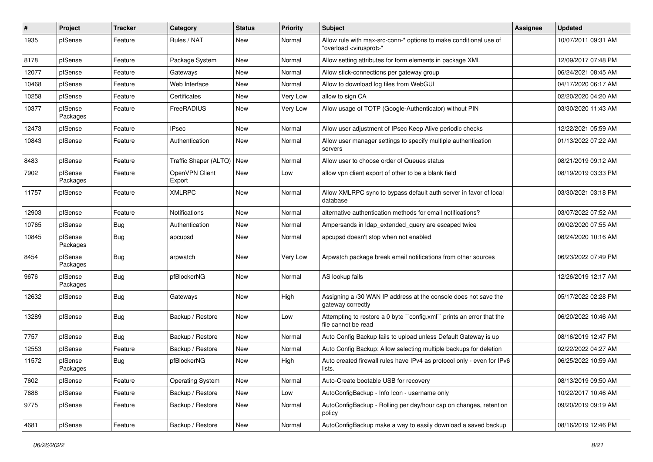| #     | Project             | <b>Tracker</b> | Category                    | <b>Status</b> | <b>Priority</b> | <b>Subject</b>                                                                                          | Assignee | <b>Updated</b>      |
|-------|---------------------|----------------|-----------------------------|---------------|-----------------|---------------------------------------------------------------------------------------------------------|----------|---------------------|
| 1935  | pfSense             | Feature        | Rules / NAT                 | New           | Normal          | Allow rule with max-src-conn-* options to make conditional use of<br>"overload <virusprot>"</virusprot> |          | 10/07/2011 09:31 AM |
| 8178  | pfSense             | Feature        | Package System              | New           | Normal          | Allow setting attributes for form elements in package XML                                               |          | 12/09/2017 07:48 PM |
| 12077 | pfSense             | Feature        | Gateways                    | New           | Normal          | Allow stick-connections per gateway group                                                               |          | 06/24/2021 08:45 AM |
| 10468 | pfSense             | Feature        | Web Interface               | New           | Normal          | Allow to download log files from WebGUI                                                                 |          | 04/17/2020 06:17 AM |
| 10258 | pfSense             | Feature        | Certificates                | New           | Very Low        | allow to sign CA                                                                                        |          | 02/20/2020 04:20 AM |
| 10377 | pfSense<br>Packages | Feature        | FreeRADIUS                  | New           | Very Low        | Allow usage of TOTP (Google-Authenticator) without PIN                                                  |          | 03/30/2020 11:43 AM |
| 12473 | pfSense             | Feature        | <b>IPsec</b>                | New           | Normal          | Allow user adjustment of IPsec Keep Alive periodic checks                                               |          | 12/22/2021 05:59 AM |
| 10843 | pfSense             | Feature        | Authentication              | New           | Normal          | Allow user manager settings to specify multiple authentication<br>servers                               |          | 01/13/2022 07:22 AM |
| 8483  | pfSense             | Feature        | Traffic Shaper (ALTQ)   New |               | Normal          | Allow user to choose order of Queues status                                                             |          | 08/21/2019 09:12 AM |
| 7902  | pfSense<br>Packages | Feature        | OpenVPN Client<br>Export    | New           | Low             | allow vpn client export of other to be a blank field                                                    |          | 08/19/2019 03:33 PM |
| 11757 | pfSense             | Feature        | <b>XMLRPC</b>               | New           | Normal          | Allow XMLRPC sync to bypass default auth server in favor of local<br>database                           |          | 03/30/2021 03:18 PM |
| 12903 | pfSense             | Feature        | <b>Notifications</b>        | New           | Normal          | alternative authentication methods for email notifications?                                             |          | 03/07/2022 07:52 AM |
| 10765 | pfSense             | <b>Bug</b>     | Authentication              | New           | Normal          | Ampersands in Idap_extended_query are escaped twice                                                     |          | 09/02/2020 07:55 AM |
| 10845 | pfSense<br>Packages | <b>Bug</b>     | apcupsd                     | New           | Normal          | apcupsd doesn't stop when not enabled                                                                   |          | 08/24/2020 10:16 AM |
| 8454  | pfSense<br>Packages | Bug            | arpwatch                    | New           | Very Low        | Arpwatch package break email notifications from other sources                                           |          | 06/23/2022 07:49 PM |
| 9676  | pfSense<br>Packages | <b>Bug</b>     | pfBlockerNG                 | New           | Normal          | AS lookup fails                                                                                         |          | 12/26/2019 12:17 AM |
| 12632 | pfSense             | Bug            | Gateways                    | New           | High            | Assigning a /30 WAN IP address at the console does not save the<br>gateway correctly                    |          | 05/17/2022 02:28 PM |
| 13289 | pfSense             | Bug            | Backup / Restore            | New           | Low             | Attempting to restore a 0 byte "config.xml" prints an error that the<br>file cannot be read             |          | 06/20/2022 10:46 AM |
| 7757  | pfSense             | <b>Bug</b>     | Backup / Restore            | New           | Normal          | Auto Config Backup fails to upload unless Default Gateway is up                                         |          | 08/16/2019 12:47 PM |
| 12553 | pfSense             | Feature        | Backup / Restore            | New           | Normal          | Auto Config Backup: Allow selecting multiple backups for deletion                                       |          | 02/22/2022 04:27 AM |
| 11572 | pfSense<br>Packages | Bug            | pfBlockerNG                 | New           | High            | Auto created firewall rules have IPv4 as protocol only - even for IPv6<br>lists.                        |          | 06/25/2022 10:59 AM |
| 7602  | pfSense             | Feature        | <b>Operating System</b>     | New           | Normal          | Auto-Create bootable USB for recovery                                                                   |          | 08/13/2019 09:50 AM |
| 7688  | pfSense             | Feature        | Backup / Restore            | New           | Low             | AutoConfigBackup - Info Icon - username only                                                            |          | 10/22/2017 10:46 AM |
| 9775  | pfSense             | Feature        | Backup / Restore            | New           | Normal          | AutoConfigBackup - Rolling per day/hour cap on changes, retention<br>policy                             |          | 09/20/2019 09:19 AM |
| 4681  | pfSense             | Feature        | Backup / Restore            | New           | Normal          | AutoConfigBackup make a way to easily download a saved backup                                           |          | 08/16/2019 12:46 PM |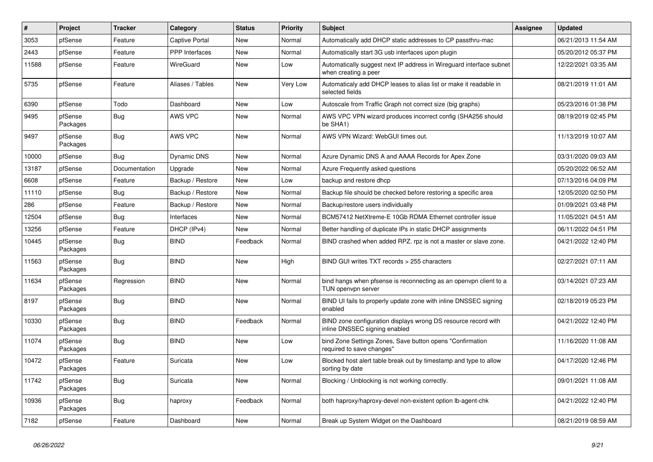| #     | Project             | <b>Tracker</b> | Category              | <b>Status</b> | <b>Priority</b> | <b>Subject</b>                                                                                  | <b>Assignee</b> | <b>Updated</b>      |
|-------|---------------------|----------------|-----------------------|---------------|-----------------|-------------------------------------------------------------------------------------------------|-----------------|---------------------|
| 3053  | pfSense             | Feature        | <b>Captive Portal</b> | <b>New</b>    | Normal          | Automatically add DHCP static addresses to CP passthru-mac                                      |                 | 06/21/2013 11:54 AM |
| 2443  | pfSense             | Feature        | PPP Interfaces        | New           | Normal          | Automatically start 3G usb interfaces upon plugin                                               |                 | 05/20/2012 05:37 PM |
| 11588 | pfSense             | Feature        | WireGuard             | New           | Low             | Automatically suggest next IP address in Wireguard interface subnet<br>when creating a peer     |                 | 12/22/2021 03:35 AM |
| 5735  | pfSense             | Feature        | Aliases / Tables      | New           | Very Low        | Automaticaly add DHCP leases to alias list or make it readable in<br>selected fields            |                 | 08/21/2019 11:01 AM |
| 6390  | pfSense             | Todo           | Dashboard             | <b>New</b>    | Low             | Autoscale from Traffic Graph not correct size (big graphs)                                      |                 | 05/23/2016 01:38 PM |
| 9495  | pfSense<br>Packages | Bug            | AWS VPC               | <b>New</b>    | Normal          | AWS VPC VPN wizard produces incorrect config (SHA256 should<br>be SHA1)                         |                 | 08/19/2019 02:45 PM |
| 9497  | pfSense<br>Packages | Bug            | AWS VPC               | <b>New</b>    | Normal          | AWS VPN Wizard: WebGUI times out.                                                               |                 | 11/13/2019 10:07 AM |
| 10000 | pfSense             | Bug            | <b>Dynamic DNS</b>    | New           | Normal          | Azure Dynamic DNS A and AAAA Records for Apex Zone                                              |                 | 03/31/2020 09:03 AM |
| 13187 | pfSense             | Documentation  | Upgrade               | New           | Normal          | Azure Frequently asked questions                                                                |                 | 05/20/2022 06:52 AM |
| 6608  | pfSense             | Feature        | Backup / Restore      | New           | Low             | backup and restore dhcp                                                                         |                 | 07/13/2016 04:09 PM |
| 11110 | pfSense             | <b>Bug</b>     | Backup / Restore      | New           | Normal          | Backup file should be checked before restoring a specific area                                  |                 | 12/05/2020 02:50 PM |
| 286   | pfSense             | Feature        | Backup / Restore      | New           | Normal          | Backup/restore users individually                                                               |                 | 01/09/2021 03:48 PM |
| 12504 | pfSense             | <b>Bug</b>     | Interfaces            | New           | Normal          | BCM57412 NetXtreme-E 10Gb RDMA Ethernet controller issue                                        |                 | 11/05/2021 04:51 AM |
| 13256 | pfSense             | Feature        | DHCP (IPv4)           | <b>New</b>    | Normal          | Better handling of duplicate IPs in static DHCP assignments                                     |                 | 06/11/2022 04:51 PM |
| 10445 | pfSense<br>Packages | <b>Bug</b>     | <b>BIND</b>           | Feedback      | Normal          | BIND crashed when added RPZ. rpz is not a master or slave zone.                                 |                 | 04/21/2022 12:40 PM |
| 11563 | pfSense<br>Packages | Bug            | <b>BIND</b>           | <b>New</b>    | High            | BIND GUI writes TXT records > 255 characters                                                    |                 | 02/27/2021 07:11 AM |
| 11634 | pfSense<br>Packages | Regression     | <b>BIND</b>           | New           | Normal          | bind hangs when pfsense is reconnecting as an openypn client to a<br>TUN openvpn server         |                 | 03/14/2021 07:23 AM |
| 8197  | pfSense<br>Packages | <b>Bug</b>     | <b>BIND</b>           | New           | Normal          | BIND UI fails to properly update zone with inline DNSSEC signing<br>enabled                     |                 | 02/18/2019 05:23 PM |
| 10330 | pfSense<br>Packages | <b>Bug</b>     | <b>BIND</b>           | Feedback      | Normal          | BIND zone configuration displays wrong DS resource record with<br>inline DNSSEC signing enabled |                 | 04/21/2022 12:40 PM |
| 11074 | pfSense<br>Packages | Bug            | <b>BIND</b>           | New           | Low             | bind Zone Settings Zones, Save button opens "Confirmation<br>required to save changes"          |                 | 11/16/2020 11:08 AM |
| 10472 | pfSense<br>Packages | Feature        | Suricata              | New           | Low             | Blocked host alert table break out by timestamp and type to allow<br>sorting by date            |                 | 04/17/2020 12:46 PM |
| 11742 | pfSense<br>Packages | <b>Bug</b>     | Suricata              | New           | Normal          | Blocking / Unblocking is not working correctly.                                                 |                 | 09/01/2021 11:08 AM |
| 10936 | pfSense<br>Packages | Bug            | haproxy               | Feedback      | Normal          | both haproxy/haproxy-devel non-existent option lb-agent-chk                                     |                 | 04/21/2022 12:40 PM |
| 7182  | pfSense             | Feature        | Dashboard             | New           | Normal          | Break up System Widget on the Dashboard                                                         |                 | 08/21/2019 08:59 AM |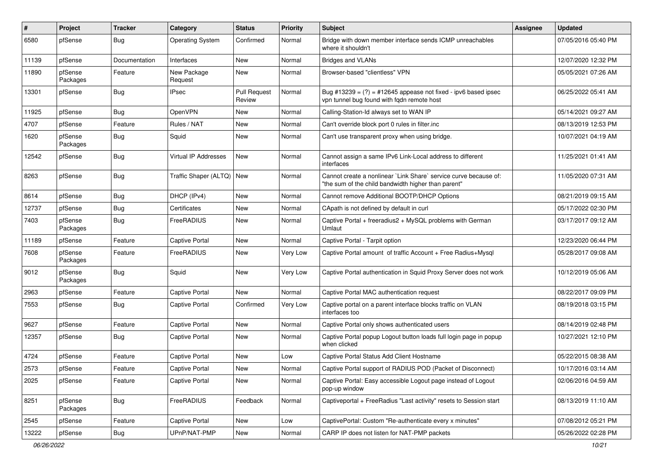| ∦     | Project             | <b>Tracker</b> | Category                | <b>Status</b>                 | <b>Priority</b> | Subject                                                                                                                 | <b>Assignee</b> | <b>Updated</b>      |
|-------|---------------------|----------------|-------------------------|-------------------------------|-----------------|-------------------------------------------------------------------------------------------------------------------------|-----------------|---------------------|
| 6580  | pfSense             | Bug            | <b>Operating System</b> | Confirmed                     | Normal          | Bridge with down member interface sends ICMP unreachables<br>where it shouldn't                                         |                 | 07/05/2016 05:40 PM |
| 11139 | pfSense             | Documentation  | Interfaces              | New                           | Normal          | <b>Bridges and VLANs</b>                                                                                                |                 | 12/07/2020 12:32 PM |
| 11890 | pfSense<br>Packages | Feature        | New Package<br>Request  | New                           | Normal          | Browser-based "clientless" VPN                                                                                          |                 | 05/05/2021 07:26 AM |
| 13301 | pfSense             | <b>Bug</b>     | <b>IPsec</b>            | <b>Pull Request</b><br>Review | Normal          | Bug #13239 = $(?)$ = #12645 appease not fixed - ipv6 based ipsec<br>vpn tunnel bug found with fgdn remote host          |                 | 06/25/2022 05:41 AM |
| 11925 | pfSense             | <b>Bug</b>     | OpenVPN                 | New                           | Normal          | Calling-Station-Id always set to WAN IP                                                                                 |                 | 05/14/2021 09:27 AM |
| 4707  | pfSense             | Feature        | Rules / NAT             | New                           | Normal          | Can't override block port 0 rules in filter.inc                                                                         |                 | 08/13/2019 12:53 PM |
| 1620  | pfSense<br>Packages | <b>Bug</b>     | Squid                   | New                           | Normal          | Can't use transparent proxy when using bridge.                                                                          |                 | 10/07/2021 04:19 AM |
| 12542 | pfSense             | <b>Bug</b>     | Virtual IP Addresses    | New                           | Normal          | Cannot assign a same IPv6 Link-Local address to different<br>interfaces                                                 |                 | 11/25/2021 01:41 AM |
| 8263  | pfSense             | <b>Bug</b>     | Traffic Shaper (ALTQ)   | New                           | Normal          | Cannot create a nonlinear `Link Share` service curve because of:<br>"the sum of the child bandwidth higher than parent" |                 | 11/05/2020 07:31 AM |
| 8614  | pfSense             | <b>Bug</b>     | DHCP (IPv4)             | New                           | Normal          | Cannot remove Additional BOOTP/DHCP Options                                                                             |                 | 08/21/2019 09:15 AM |
| 12737 | pfSense             | <b>Bug</b>     | Certificates            | New                           | Normal          | CApath is not defined by default in curl                                                                                |                 | 05/17/2022 02:30 PM |
| 7403  | pfSense<br>Packages | Bug            | FreeRADIUS              | New                           | Normal          | Captive Portal + freeradius2 + MySQL problems with German<br>Umlaut                                                     |                 | 03/17/2017 09:12 AM |
| 11189 | pfSense             | Feature        | <b>Captive Portal</b>   | New                           | Normal          | Captive Portal - Tarpit option                                                                                          |                 | 12/23/2020 06:44 PM |
| 7608  | pfSense<br>Packages | Feature        | FreeRADIUS              | New                           | Very Low        | Captive Portal amount of traffic Account + Free Radius+Mysql                                                            |                 | 05/28/2017 09:08 AM |
| 9012  | pfSense<br>Packages | Bug            | Squid                   | New                           | Very Low        | Captive Portal authentication in Squid Proxy Server does not work                                                       |                 | 10/12/2019 05:06 AM |
| 2963  | pfSense             | Feature        | <b>Captive Portal</b>   | New                           | Normal          | Captive Portal MAC authentication request                                                                               |                 | 08/22/2017 09:09 PM |
| 7553  | pfSense             | Bug            | <b>Captive Portal</b>   | Confirmed                     | Very Low        | Captive portal on a parent interface blocks traffic on VLAN<br>interfaces too                                           |                 | 08/19/2018 03:15 PM |
| 9627  | pfSense             | Feature        | Captive Portal          | New                           | Normal          | Captive Portal only shows authenticated users                                                                           |                 | 08/14/2019 02:48 PM |
| 12357 | pfSense             | <b>Bug</b>     | Captive Portal          | New                           | Normal          | Captive Portal popup Logout button loads full login page in popup<br>when clicked                                       |                 | 10/27/2021 12:10 PM |
| 4724  | pfSense             | Feature        | <b>Captive Portal</b>   | New                           | Low             | Captive Portal Status Add Client Hostname                                                                               |                 | 05/22/2015 08:38 AM |
| 2573  | pfSense             | Feature        | Captive Portal          | New                           | Normal          | Captive Portal support of RADIUS POD (Packet of Disconnect)                                                             |                 | 10/17/2016 03:14 AM |
| 2025  | pfSense             | Feature        | Captive Portal          | New                           | Normal          | Captive Portal: Easy accessible Logout page instead of Logout<br>pop-up window                                          |                 | 02/06/2016 04:59 AM |
| 8251  | pfSense<br>Packages | Bug            | <b>FreeRADIUS</b>       | Feedback                      | Normal          | Captiveportal + FreeRadius "Last activity" resets to Session start                                                      |                 | 08/13/2019 11:10 AM |
| 2545  | pfSense             | Feature        | Captive Portal          | New                           | Low             | CaptivePortal: Custom "Re-authenticate every x minutes"                                                                 |                 | 07/08/2012 05:21 PM |
| 13222 | pfSense             | Bug            | UPnP/NAT-PMP            | New                           | Normal          | CARP IP does not listen for NAT-PMP packets                                                                             |                 | 05/26/2022 02:28 PM |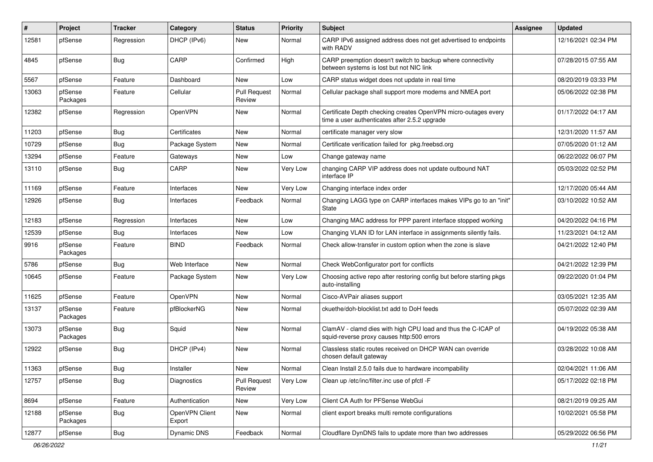| ∦     | Project             | Tracker    | Category                 | <b>Status</b>                 | <b>Priority</b> | Subject                                                                                                         | <b>Assignee</b> | <b>Updated</b>      |
|-------|---------------------|------------|--------------------------|-------------------------------|-----------------|-----------------------------------------------------------------------------------------------------------------|-----------------|---------------------|
| 12581 | pfSense             | Regression | DHCP (IPv6)              | New                           | Normal          | CARP IPv6 assigned address does not get advertised to endpoints<br>with RADV                                    |                 | 12/16/2021 02:34 PM |
| 4845  | pfSense             | <b>Bug</b> | CARP                     | Confirmed                     | High            | CARP preemption doesn't switch to backup where connectivity<br>between systems is lost but not NIC link         |                 | 07/28/2015 07:55 AM |
| 5567  | pfSense             | Feature    | Dashboard                | New                           | Low             | CARP status widget does not update in real time                                                                 |                 | 08/20/2019 03:33 PM |
| 13063 | pfSense<br>Packages | Feature    | Cellular                 | <b>Pull Request</b><br>Review | Normal          | Cellular package shall support more modems and NMEA port                                                        |                 | 05/06/2022 02:38 PM |
| 12382 | pfSense             | Regression | OpenVPN                  | New                           | Normal          | Certificate Depth checking creates OpenVPN micro-outages every<br>time a user authenticates after 2.5.2 upgrade |                 | 01/17/2022 04:17 AM |
| 11203 | pfSense             | <b>Bug</b> | Certificates             | New                           | Normal          | certificate manager very slow                                                                                   |                 | 12/31/2020 11:57 AM |
| 10729 | pfSense             | Bug        | Package System           | New                           | Normal          | Certificate verification failed for pkg.freebsd.org                                                             |                 | 07/05/2020 01:12 AM |
| 13294 | pfSense             | Feature    | Gateways                 | New                           | Low             | Change gateway name                                                                                             |                 | 06/22/2022 06:07 PM |
| 13110 | pfSense             | <b>Bug</b> | CARP                     | New                           | Very Low        | changing CARP VIP address does not update outbound NAT<br>interface IP                                          |                 | 05/03/2022 02:52 PM |
| 11169 | pfSense             | Feature    | Interfaces               | New                           | Very Low        | Changing interface index order                                                                                  |                 | 12/17/2020 05:44 AM |
| 12926 | pfSense             | Bug        | Interfaces               | Feedback                      | Normal          | Changing LAGG type on CARP interfaces makes VIPs go to an "init"<br>State                                       |                 | 03/10/2022 10:52 AM |
| 12183 | pfSense             | Regression | Interfaces               | <b>New</b>                    | Low             | Changing MAC address for PPP parent interface stopped working                                                   |                 | 04/20/2022 04:16 PM |
| 12539 | pfSense             | Bug        | Interfaces               | New                           | Low             | Changing VLAN ID for LAN interface in assignments silently fails.                                               |                 | 11/23/2021 04:12 AM |
| 9916  | pfSense<br>Packages | Feature    | <b>BIND</b>              | Feedback                      | Normal          | Check allow-transfer in custom option when the zone is slave                                                    |                 | 04/21/2022 12:40 PM |
| 5786  | pfSense             | Bug        | Web Interface            | <b>New</b>                    | Normal          | Check WebConfigurator port for conflicts                                                                        |                 | 04/21/2022 12:39 PM |
| 10645 | pfSense             | Feature    | Package System           | New                           | Very Low        | Choosing active repo after restoring config but before starting pkgs<br>auto-installing                         |                 | 09/22/2020 01:04 PM |
| 11625 | pfSense             | Feature    | OpenVPN                  | New                           | Normal          | Cisco-AVPair aliases support                                                                                    |                 | 03/05/2021 12:35 AM |
| 13137 | pfSense<br>Packages | Feature    | pfBlockerNG              | New                           | Normal          | ckuethe/doh-blocklist.txt add to DoH feeds                                                                      |                 | 05/07/2022 02:39 AM |
| 13073 | pfSense<br>Packages | <b>Bug</b> | Squid                    | New                           | Normal          | ClamAV - clamd dies with high CPU load and thus the C-ICAP of<br>squid-reverse proxy causes http:500 errors     |                 | 04/19/2022 05:38 AM |
| 12922 | pfSense             | <b>Bug</b> | DHCP (IPv4)              | New                           | Normal          | Classless static routes received on DHCP WAN can override<br>chosen default gateway                             |                 | 03/28/2022 10:08 AM |
| 11363 | pfSense             | i Bug      | Installer                | New                           | Normal          | Clean Install 2.5.0 fails due to hardware incompability                                                         |                 | 02/04/2021 11:06 AM |
| 12757 | pfSense             | Bug        | Diagnostics              | <b>Pull Request</b><br>Review | Very Low        | Clean up /etc/inc/filter.inc use of pfctl -F                                                                    |                 | 05/17/2022 02:18 PM |
| 8694  | pfSense             | Feature    | Authentication           | New                           | Very Low        | Client CA Auth for PFSense WebGui                                                                               |                 | 08/21/2019 09:25 AM |
| 12188 | pfSense<br>Packages | <b>Bug</b> | OpenVPN Client<br>Export | New                           | Normal          | client export breaks multi remote configurations                                                                |                 | 10/02/2021 05:58 PM |
| 12877 | pfSense             | Bug        | Dynamic DNS              | Feedback                      | Normal          | Cloudflare DynDNS fails to update more than two addresses                                                       |                 | 05/29/2022 06:56 PM |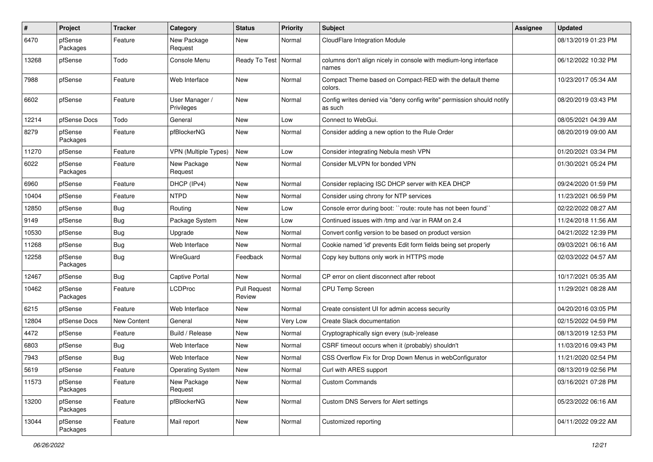| $\sharp$ | <b>Project</b>      | <b>Tracker</b> | Category                     | <b>Status</b>                 | <b>Priority</b> | <b>Subject</b>                                                                   | Assignee | <b>Updated</b>      |
|----------|---------------------|----------------|------------------------------|-------------------------------|-----------------|----------------------------------------------------------------------------------|----------|---------------------|
| 6470     | pfSense<br>Packages | Feature        | New Package<br>Request       | New                           | Normal          | CloudFlare Integration Module                                                    |          | 08/13/2019 01:23 PM |
| 13268    | pfSense             | Todo           | Console Menu                 | Ready To Test   Normal        |                 | columns don't align nicely in console with medium-long interface<br>names        |          | 06/12/2022 10:32 PM |
| 7988     | pfSense             | Feature        | Web Interface                | New                           | Normal          | Compact Theme based on Compact-RED with the default theme<br>colors.             |          | 10/23/2017 05:34 AM |
| 6602     | pfSense             | Feature        | User Manager /<br>Privileges | New                           | Normal          | Config writes denied via "deny config write" permission should notify<br>as such |          | 08/20/2019 03:43 PM |
| 12214    | pfSense Docs        | Todo           | General                      | New                           | Low             | Connect to WebGui.                                                               |          | 08/05/2021 04:39 AM |
| 8279     | pfSense<br>Packages | Feature        | pfBlockerNG                  | New                           | Normal          | Consider adding a new option to the Rule Order                                   |          | 08/20/2019 09:00 AM |
| 11270    | pfSense             | Feature        | <b>VPN (Multiple Types)</b>  | New                           | Low             | Consider integrating Nebula mesh VPN                                             |          | 01/20/2021 03:34 PM |
| 6022     | pfSense<br>Packages | Feature        | New Package<br>Request       | New                           | Normal          | Consider MLVPN for bonded VPN                                                    |          | 01/30/2021 05:24 PM |
| 6960     | pfSense             | Feature        | DHCP (IPv4)                  | New                           | Normal          | Consider replacing ISC DHCP server with KEA DHCP                                 |          | 09/24/2020 01:59 PM |
| 10404    | pfSense             | Feature        | <b>NTPD</b>                  | New                           | Normal          | Consider using chrony for NTP services                                           |          | 11/23/2021 06:59 PM |
| 12850    | pfSense             | <b>Bug</b>     | Routing                      | New                           | Low             | Console error during boot: "route: route has not been found"                     |          | 02/22/2022 08:27 AM |
| 9149     | pfSense             | <b>Bug</b>     | Package System               | New                           | Low             | Continued issues with /tmp and /var in RAM on 2.4                                |          | 11/24/2018 11:56 AM |
| 10530    | pfSense             | <b>Bug</b>     | Upgrade                      | New                           | Normal          | Convert config version to be based on product version                            |          | 04/21/2022 12:39 PM |
| 11268    | pfSense             | <b>Bug</b>     | Web Interface                | New                           | Normal          | Cookie named 'id' prevents Edit form fields being set properly                   |          | 09/03/2021 06:16 AM |
| 12258    | pfSense<br>Packages | <b>Bug</b>     | WireGuard                    | Feedback                      | Normal          | Copy key buttons only work in HTTPS mode                                         |          | 02/03/2022 04:57 AM |
| 12467    | pfSense             | <b>Bug</b>     | <b>Captive Portal</b>        | New                           | Normal          | CP error on client disconnect after reboot                                       |          | 10/17/2021 05:35 AM |
| 10462    | pfSense<br>Packages | Feature        | <b>LCDProc</b>               | <b>Pull Request</b><br>Review | Normal          | <b>CPU Temp Screen</b>                                                           |          | 11/29/2021 08:28 AM |
| 6215     | pfSense             | Feature        | Web Interface                | New                           | Normal          | Create consistent UI for admin access security                                   |          | 04/20/2016 03:05 PM |
| 12804    | pfSense Docs        | New Content    | General                      | New                           | Very Low        | Create Slack documentation                                                       |          | 02/15/2022 04:59 PM |
| 4472     | pfSense             | Feature        | Build / Release              | New                           | Normal          | Cryptographically sign every (sub-)release                                       |          | 08/13/2019 12:53 PM |
| 6803     | pfSense             | <b>Bug</b>     | Web Interface                | New                           | Normal          | CSRF timeout occurs when it (probably) shouldn't                                 |          | 11/03/2016 09:43 PM |
| 7943     | pfSense             | <b>Bug</b>     | Web Interface                | New                           | Normal          | CSS Overflow Fix for Drop Down Menus in webConfigurator                          |          | 11/21/2020 02:54 PM |
| 5619     | pfSense             | Feature        | <b>Operating System</b>      | New                           | Normal          | Curl with ARES support                                                           |          | 08/13/2019 02:56 PM |
| 11573    | pfSense<br>Packages | Feature        | New Package<br>Request       | New                           | Normal          | <b>Custom Commands</b>                                                           |          | 03/16/2021 07:28 PM |
| 13200    | pfSense<br>Packages | Feature        | pfBlockerNG                  | New                           | Normal          | Custom DNS Servers for Alert settings                                            |          | 05/23/2022 06:16 AM |
| 13044    | pfSense<br>Packages | Feature        | Mail report                  | New                           | Normal          | Customized reporting                                                             |          | 04/11/2022 09:22 AM |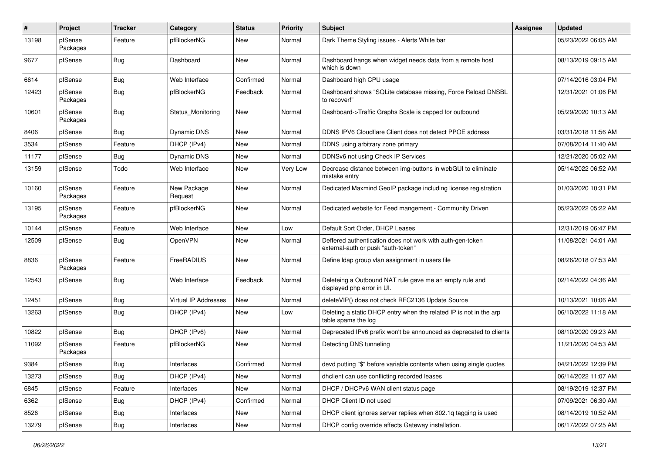| $\pmb{\#}$ | Project             | <b>Tracker</b> | Category               | <b>Status</b> | <b>Priority</b> | <b>Subject</b>                                                                                  | <b>Assignee</b> | <b>Updated</b>      |
|------------|---------------------|----------------|------------------------|---------------|-----------------|-------------------------------------------------------------------------------------------------|-----------------|---------------------|
| 13198      | pfSense<br>Packages | Feature        | pfBlockerNG            | New           | Normal          | Dark Theme Styling issues - Alerts White bar                                                    |                 | 05/23/2022 06:05 AM |
| 9677       | pfSense             | <b>Bug</b>     | Dashboard              | New           | Normal          | Dashboard hangs when widget needs data from a remote host<br>which is down                      |                 | 08/13/2019 09:15 AM |
| 6614       | pfSense             | <b>Bug</b>     | Web Interface          | Confirmed     | Normal          | Dashboard high CPU usage                                                                        |                 | 07/14/2016 03:04 PM |
| 12423      | pfSense<br>Packages | <b>Bug</b>     | pfBlockerNG            | Feedback      | Normal          | Dashboard shows "SQLite database missing, Force Reload DNSBL<br>to recover!"                    |                 | 12/31/2021 01:06 PM |
| 10601      | pfSense<br>Packages | <b>Bug</b>     | Status Monitoring      | New           | Normal          | Dashboard->Traffic Graphs Scale is capped for outbound                                          |                 | 05/29/2020 10:13 AM |
| 8406       | pfSense             | <b>Bug</b>     | Dynamic DNS            | <b>New</b>    | Normal          | DDNS IPV6 Cloudflare Client does not detect PPOE address                                        |                 | 03/31/2018 11:56 AM |
| 3534       | pfSense             | Feature        | DHCP (IPv4)            | New           | Normal          | DDNS using arbitrary zone primary                                                               |                 | 07/08/2014 11:40 AM |
| 11177      | pfSense             | <b>Bug</b>     | Dynamic DNS            | New           | Normal          | DDNSv6 not using Check IP Services                                                              |                 | 12/21/2020 05:02 AM |
| 13159      | pfSense             | Todo           | Web Interface          | New           | Very Low        | Decrease distance between img-buttons in webGUI to eliminate<br>mistake entry                   |                 | 05/14/2022 06:52 AM |
| 10160      | pfSense<br>Packages | Feature        | New Package<br>Request | New           | Normal          | Dedicated Maxmind GeoIP package including license registration                                  |                 | 01/03/2020 10:31 PM |
| 13195      | pfSense<br>Packages | Feature        | pfBlockerNG            | New           | Normal          | Dedicated website for Feed mangement - Community Driven                                         |                 | 05/23/2022 05:22 AM |
| 10144      | pfSense             | Feature        | Web Interface          | New           | Low             | Default Sort Order, DHCP Leases                                                                 |                 | 12/31/2019 06:47 PM |
| 12509      | pfSense             | Bug            | OpenVPN                | New           | Normal          | Deffered authentication does not work with auth-gen-token<br>external-auth or pusk "auth-token" |                 | 11/08/2021 04:01 AM |
| 8836       | pfSense<br>Packages | Feature        | FreeRADIUS             | New           | Normal          | Define Idap group vlan assignment in users file                                                 |                 | 08/26/2018 07:53 AM |
| 12543      | pfSense             | Bug            | Web Interface          | Feedback      | Normal          | Deleteing a Outbound NAT rule gave me an empty rule and<br>displayed php error in UI.           |                 | 02/14/2022 04:36 AM |
| 12451      | pfSense             | <b>Bug</b>     | Virtual IP Addresses   | New           | Normal          | deleteVIP() does not check RFC2136 Update Source                                                |                 | 10/13/2021 10:06 AM |
| 13263      | pfSense             | <b>Bug</b>     | DHCP (IPv4)            | New           | Low             | Deleting a static DHCP entry when the related IP is not in the arp<br>table spams the log       |                 | 06/10/2022 11:18 AM |
| 10822      | pfSense             | <b>Bug</b>     | DHCP (IPv6)            | New           | Normal          | Deprecated IPv6 prefix won't be announced as deprecated to clients                              |                 | 08/10/2020 09:23 AM |
| 11092      | pfSense<br>Packages | Feature        | pfBlockerNG            | New           | Normal          | Detecting DNS tunneling                                                                         |                 | 11/21/2020 04:53 AM |
| 9384       | pfSense             | <b>Bug</b>     | Interfaces             | Confirmed     | Normal          | devd putting "\$" before variable contents when using single quotes                             |                 | 04/21/2022 12:39 PM |
| 13273      | pfSense             | <b>Bug</b>     | DHCP (IPv4)            | New           | Normal          | dhclient can use conflicting recorded leases                                                    |                 | 06/14/2022 11:07 AM |
| 6845       | pfSense             | Feature        | Interfaces             | New           | Normal          | DHCP / DHCPv6 WAN client status page                                                            |                 | 08/19/2019 12:37 PM |
| 6362       | pfSense             | <b>Bug</b>     | DHCP (IPv4)            | Confirmed     | Normal          | DHCP Client ID not used                                                                         |                 | 07/09/2021 06:30 AM |
| 8526       | pfSense             | <b>Bug</b>     | Interfaces             | New           | Normal          | DHCP client ignores server replies when 802.1q tagging is used                                  |                 | 08/14/2019 10:52 AM |
| 13279      | pfSense             | Bug            | Interfaces             | New           | Normal          | DHCP config override affects Gateway installation.                                              |                 | 06/17/2022 07:25 AM |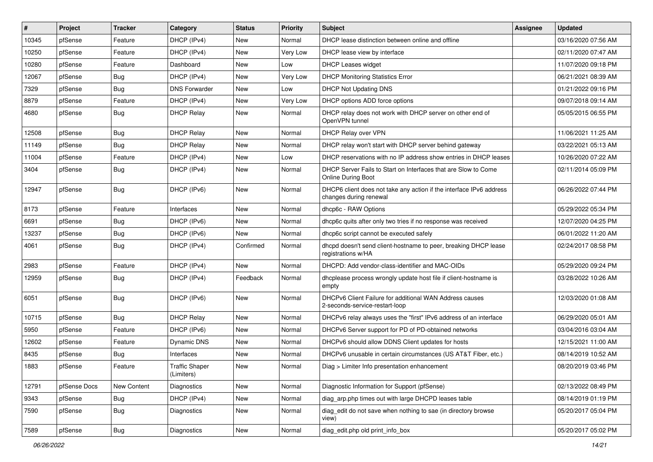| #     | Project      | Tracker     | Category                            | <b>Status</b> | <b>Priority</b> | <b>Subject</b>                                                                                | <b>Assignee</b> | <b>Updated</b>      |
|-------|--------------|-------------|-------------------------------------|---------------|-----------------|-----------------------------------------------------------------------------------------------|-----------------|---------------------|
| 10345 | pfSense      | Feature     | DHCP (IPv4)                         | New           | Normal          | DHCP lease distinction between online and offline                                             |                 | 03/16/2020 07:56 AM |
| 10250 | pfSense      | Feature     | DHCP (IPv4)                         | New           | Very Low        | DHCP lease view by interface                                                                  |                 | 02/11/2020 07:47 AM |
| 10280 | pfSense      | Feature     | Dashboard                           | New           | Low             | DHCP Leases widget                                                                            |                 | 11/07/2020 09:18 PM |
| 12067 | pfSense      | <b>Bug</b>  | DHCP (IPv4)                         | New           | Very Low        | <b>DHCP Monitoring Statistics Error</b>                                                       |                 | 06/21/2021 08:39 AM |
| 7329  | pfSense      | <b>Bug</b>  | <b>DNS Forwarder</b>                | New           | Low             | DHCP Not Updating DNS                                                                         |                 | 01/21/2022 09:16 PM |
| 8879  | pfSense      | Feature     | DHCP (IPv4)                         | New           | Very Low        | DHCP options ADD force options                                                                |                 | 09/07/2018 09:14 AM |
| 4680  | pfSense      | <b>Bug</b>  | <b>DHCP Relay</b>                   | New           | Normal          | DHCP relay does not work with DHCP server on other end of<br>OpenVPN tunnel                   |                 | 05/05/2015 06:55 PM |
| 12508 | pfSense      | <b>Bug</b>  | <b>DHCP Relay</b>                   | New           | Normal          | DHCP Relay over VPN                                                                           |                 | 11/06/2021 11:25 AM |
| 11149 | pfSense      | Bug         | <b>DHCP Relay</b>                   | New           | Normal          | DHCP relay won't start with DHCP server behind gateway                                        |                 | 03/22/2021 05:13 AM |
| 11004 | pfSense      | Feature     | DHCP (IPv4)                         | New           | Low             | DHCP reservations with no IP address show entries in DHCP leases                              |                 | 10/26/2020 07:22 AM |
| 3404  | pfSense      | <b>Bug</b>  | DHCP (IPv4)                         | New           | Normal          | DHCP Server Fails to Start on Interfaces that are Slow to Come<br><b>Online During Boot</b>   |                 | 02/11/2014 05:09 PM |
| 12947 | pfSense      | Bug         | DHCP (IPv6)                         | New           | Normal          | DHCP6 client does not take any action if the interface IPv6 address<br>changes during renewal |                 | 06/26/2022 07:44 PM |
| 8173  | pfSense      | Feature     | Interfaces                          | New           | Normal          | dhcp6c - RAW Options                                                                          |                 | 05/29/2022 05:34 PM |
| 6691  | pfSense      | <b>Bug</b>  | DHCP (IPv6)                         | New           | Normal          | dhcp6c quits after only two tries if no response was received                                 |                 | 12/07/2020 04:25 PM |
| 13237 | pfSense      | Bug         | DHCP (IPv6)                         | New           | Normal          | dhcp6c script cannot be executed safely                                                       |                 | 06/01/2022 11:20 AM |
| 4061  | pfSense      | Bug         | DHCP (IPv4)                         | Confirmed     | Normal          | dhcpd doesn't send client-hostname to peer, breaking DHCP lease<br>registrations w/HA         |                 | 02/24/2017 08:58 PM |
| 2983  | pfSense      | Feature     | DHCP (IPv4)                         | New           | Normal          | DHCPD: Add vendor-class-identifier and MAC-OIDs                                               |                 | 05/29/2020 09:24 PM |
| 12959 | pfSense      | <b>Bug</b>  | DHCP (IPv4)                         | Feedback      | Normal          | dhcplease process wrongly update host file if client-hostname is<br>empty                     |                 | 03/28/2022 10:26 AM |
| 6051  | pfSense      | Bug         | DHCP (IPv6)                         | New           | Normal          | DHCPv6 Client Failure for additional WAN Address causes<br>2-seconds-service-restart-loop     |                 | 12/03/2020 01:08 AM |
| 10715 | pfSense      | Bug         | <b>DHCP Relay</b>                   | New           | Normal          | DHCPv6 relay always uses the "first" IPv6 address of an interface                             |                 | 06/29/2020 05:01 AM |
| 5950  | pfSense      | Feature     | DHCP (IPv6)                         | New           | Normal          | DHCPv6 Server support for PD of PD-obtained networks                                          |                 | 03/04/2016 03:04 AM |
| 12602 | pfSense      | Feature     | Dynamic DNS                         | New           | Normal          | DHCPv6 should allow DDNS Client updates for hosts                                             |                 | 12/15/2021 11:00 AM |
| 8435  | pfSense      | <b>Bug</b>  | Interfaces                          | New           | Normal          | DHCPv6 unusable in certain circumstances (US AT&T Fiber, etc.)                                |                 | 08/14/2019 10:52 AM |
| 1883  | pfSense      | Feature     | <b>Traffic Shaper</b><br>(Limiters) | New           | Normal          | Diag > Limiter Info presentation enhancement                                                  |                 | 08/20/2019 03:46 PM |
| 12791 | pfSense Docs | New Content | Diagnostics                         | New           | Normal          | Diagnostic Information for Support (pfSense)                                                  |                 | 02/13/2022 08:49 PM |
| 9343  | pfSense      | <b>Bug</b>  | DHCP (IPv4)                         | New           | Normal          | diag arp.php times out with large DHCPD leases table                                          |                 | 08/14/2019 01:19 PM |
| 7590  | pfSense      | Bug         | Diagnostics                         | New           | Normal          | diag_edit do not save when nothing to sae (in directory browse<br>view)                       |                 | 05/20/2017 05:04 PM |
| 7589  | pfSense      | i Bug       | Diagnostics                         | New           | Normal          | diag_edit.php old print_info_box                                                              |                 | 05/20/2017 05:02 PM |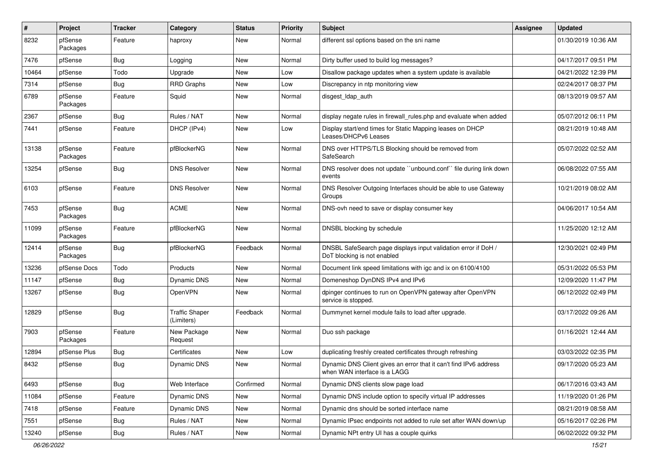| #     | <b>Project</b>      | <b>Tracker</b> | Category                            | <b>Status</b> | <b>Priority</b> | <b>Subject</b>                                                                                    | <b>Assignee</b> | <b>Updated</b>      |
|-------|---------------------|----------------|-------------------------------------|---------------|-----------------|---------------------------------------------------------------------------------------------------|-----------------|---------------------|
| 8232  | pfSense<br>Packages | Feature        | haproxy                             | New           | Normal          | different ssl options based on the sni name                                                       |                 | 01/30/2019 10:36 AM |
| 7476  | pfSense             | <b>Bug</b>     | Logging                             | New           | Normal          | Dirty buffer used to build log messages?                                                          |                 | 04/17/2017 09:51 PM |
| 10464 | pfSense             | Todo           | Upgrade                             | New           | Low             | Disallow package updates when a system update is available                                        |                 | 04/21/2022 12:39 PM |
| 7314  | pfSense             | Bug            | <b>RRD Graphs</b>                   | New           | Low             | Discrepancy in ntp monitoring view                                                                |                 | 02/24/2017 08:37 PM |
| 6789  | pfSense<br>Packages | Feature        | Squid                               | New           | Normal          | disgest_ldap_auth                                                                                 |                 | 08/13/2019 09:57 AM |
| 2367  | pfSense             | Bug            | Rules / NAT                         | New           | Normal          | display negate rules in firewall rules php and evaluate when added                                |                 | 05/07/2012 06:11 PM |
| 7441  | pfSense             | Feature        | DHCP (IPv4)                         | New           | Low             | Display start/end times for Static Mapping leases on DHCP<br>Leases/DHCPv6 Leases                 |                 | 08/21/2019 10:48 AM |
| 13138 | pfSense<br>Packages | Feature        | pfBlockerNG                         | New           | Normal          | DNS over HTTPS/TLS Blocking should be removed from<br>SafeSearch                                  |                 | 05/07/2022 02:52 AM |
| 13254 | pfSense             | <b>Bug</b>     | <b>DNS Resolver</b>                 | New           | Normal          | DNS resolver does not update "unbound.conf" file during link down<br>events                       |                 | 06/08/2022 07:55 AM |
| 6103  | pfSense             | Feature        | <b>DNS Resolver</b>                 | New           | Normal          | DNS Resolver Outgoing Interfaces should be able to use Gateway<br>Groups                          |                 | 10/21/2019 08:02 AM |
| 7453  | pfSense<br>Packages | Bug            | <b>ACME</b>                         | New           | Normal          | DNS-ovh need to save or display consumer key                                                      |                 | 04/06/2017 10:54 AM |
| 11099 | pfSense<br>Packages | Feature        | pfBlockerNG                         | New           | Normal          | DNSBL blocking by schedule                                                                        |                 | 11/25/2020 12:12 AM |
| 12414 | pfSense<br>Packages | <b>Bug</b>     | pfBlockerNG                         | Feedback      | Normal          | DNSBL SafeSearch page displays input validation error if DoH /<br>DoT blocking is not enabled     |                 | 12/30/2021 02:49 PM |
| 13236 | pfSense Docs        | Todo           | Products                            | <b>New</b>    | Normal          | Document link speed limitations with igc and ix on 6100/4100                                      |                 | 05/31/2022 05:53 PM |
| 11147 | pfSense             | <b>Bug</b>     | Dynamic DNS                         | New           | Normal          | Domeneshop DynDNS IPv4 and IPv6                                                                   |                 | 12/09/2020 11:47 PM |
| 13267 | pfSense             | <b>Bug</b>     | <b>OpenVPN</b>                      | New           | Normal          | dpinger continues to run on OpenVPN gateway after OpenVPN<br>service is stopped.                  |                 | 06/12/2022 02:49 PM |
| 12829 | pfSense             | <b>Bug</b>     | <b>Traffic Shaper</b><br>(Limiters) | Feedback      | Normal          | Dummynet kernel module fails to load after upgrade.                                               |                 | 03/17/2022 09:26 AM |
| 7903  | pfSense<br>Packages | Feature        | New Package<br>Request              | New           | Normal          | Duo ssh package                                                                                   |                 | 01/16/2021 12:44 AM |
| 12894 | pfSense Plus        | <b>Bug</b>     | Certificates                        | New           | Low             | duplicating freshly created certificates through refreshing                                       |                 | 03/03/2022 02:35 PM |
| 8432  | pfSense             | <b>Bug</b>     | Dynamic DNS                         | New           | Normal          | Dynamic DNS Client gives an error that it can't find IPv6 address<br>when WAN interface is a LAGG |                 | 09/17/2020 05:23 AM |
| 6493  | pfSense             | <b>Bug</b>     | Web Interface                       | Confirmed     | Normal          | Dynamic DNS clients slow page load                                                                |                 | 06/17/2016 03:43 AM |
| 11084 | pfSense             | Feature        | Dynamic DNS                         | New           | Normal          | Dynamic DNS include option to specify virtual IP addresses                                        |                 | 11/19/2020 01:26 PM |
| 7418  | pfSense             | Feature        | Dynamic DNS                         | New           | Normal          | Dynamic dns should be sorted interface name                                                       |                 | 08/21/2019 08:58 AM |
| 7551  | pfSense             | <b>Bug</b>     | Rules / NAT                         | New           | Normal          | Dynamic IPsec endpoints not added to rule set after WAN down/up                                   |                 | 05/16/2017 02:26 PM |
| 13240 | pfSense             | <b>Bug</b>     | Rules / NAT                         | New           | Normal          | Dynamic NPt entry UI has a couple quirks                                                          |                 | 06/02/2022 09:32 PM |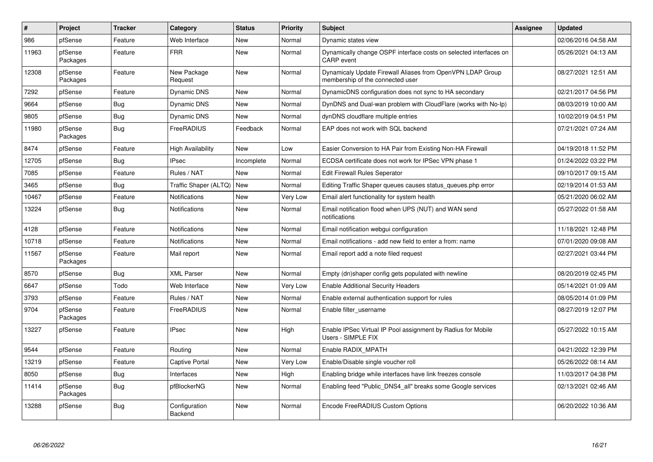| #     | Project             | <b>Tracker</b> | Category                 | <b>Status</b> | Priority | <b>Subject</b>                                                                                 | Assignee | <b>Updated</b>      |
|-------|---------------------|----------------|--------------------------|---------------|----------|------------------------------------------------------------------------------------------------|----------|---------------------|
| 986   | pfSense             | Feature        | Web Interface            | <b>New</b>    | Normal   | Dynamic states view                                                                            |          | 02/06/2016 04:58 AM |
| 11963 | pfSense<br>Packages | Feature        | <b>FRR</b>               | New           | Normal   | Dynamically change OSPF interface costs on selected interfaces on<br><b>CARP</b> event         |          | 05/26/2021 04:13 AM |
| 12308 | pfSense<br>Packages | Feature        | New Package<br>Request   | <b>New</b>    | Normal   | Dynamicaly Update Firewall Aliases from OpenVPN LDAP Group<br>membership of the connected user |          | 08/27/2021 12:51 AM |
| 7292  | pfSense             | Feature        | Dynamic DNS              | New           | Normal   | DynamicDNS configuration does not sync to HA secondary                                         |          | 02/21/2017 04:56 PM |
| 9664  | pfSense             | <b>Bug</b>     | <b>Dynamic DNS</b>       | <b>New</b>    | Normal   | DynDNS and Dual-wan problem with CloudFlare (works with No-Ip)                                 |          | 08/03/2019 10:00 AM |
| 9805  | pfSense             | Bug            | Dynamic DNS              | New           | Normal   | dynDNS cloudflare multiple entries                                                             |          | 10/02/2019 04:51 PM |
| 11980 | pfSense<br>Packages | Bug            | FreeRADIUS               | Feedback      | Normal   | EAP does not work with SQL backend                                                             |          | 07/21/2021 07:24 AM |
| 8474  | pfSense             | Feature        | <b>High Availability</b> | New           | Low      | Easier Conversion to HA Pair from Existing Non-HA Firewall                                     |          | 04/19/2018 11:52 PM |
| 12705 | pfSense             | Bug            | <b>IPsec</b>             | Incomplete    | Normal   | ECDSA certificate does not work for IPSec VPN phase 1                                          |          | 01/24/2022 03:22 PM |
| 7085  | pfSense             | Feature        | Rules / NAT              | <b>New</b>    | Normal   | <b>Edit Firewall Rules Seperator</b>                                                           |          | 09/10/2017 09:15 AM |
| 3465  | pfSense             | Bug            | Traffic Shaper (ALTQ)    | New           | Normal   | Editing Traffic Shaper queues causes status queues.php error                                   |          | 02/19/2014 01:53 AM |
| 10467 | pfSense             | Feature        | <b>Notifications</b>     | New           | Very Low | Email alert functionality for system health                                                    |          | 05/21/2020 06:02 AM |
| 13224 | pfSense             | <b>Bug</b>     | <b>Notifications</b>     | <b>New</b>    | Normal   | Email notification flood when UPS (NUT) and WAN send<br>notifications                          |          | 05/27/2022 01:58 AM |
| 4128  | pfSense             | Feature        | Notifications            | <b>New</b>    | Normal   | Email notification webgui configuration                                                        |          | 11/18/2021 12:48 PM |
| 10718 | pfSense             | Feature        | Notifications            | New           | Normal   | Email notifications - add new field to enter a from: name                                      |          | 07/01/2020 09:08 AM |
| 11567 | pfSense<br>Packages | Feature        | Mail report              | New           | Normal   | Email report add a note filed request                                                          |          | 02/27/2021 03:44 PM |
| 8570  | pfSense             | <b>Bug</b>     | <b>XML Parser</b>        | New           | Normal   | Empty (dn)shaper config gets populated with newline                                            |          | 08/20/2019 02:45 PM |
| 6647  | pfSense             | Todo           | Web Interface            | New           | Very Low | <b>Enable Additional Security Headers</b>                                                      |          | 05/14/2021 01:09 AM |
| 3793  | pfSense             | Feature        | Rules / NAT              | New           | Normal   | Enable external authentication support for rules                                               |          | 08/05/2014 01:09 PM |
| 9704  | pfSense<br>Packages | Feature        | FreeRADIUS               | New           | Normal   | Enable filter_username                                                                         |          | 08/27/2019 12:07 PM |
| 13227 | pfSense             | Feature        | <b>IPsec</b>             | New           | High     | Enable IPSec Virtual IP Pool assignment by Radius for Mobile<br>Users - SIMPLE FIX             |          | 05/27/2022 10:15 AM |
| 9544  | pfSense             | Feature        | Routing                  | New           | Normal   | Enable RADIX MPATH                                                                             |          | 04/21/2022 12:39 PM |
| 13219 | pfSense             | Feature        | <b>Captive Portal</b>    | New           | Very Low | Enable/Disable single voucher roll                                                             |          | 05/26/2022 08:14 AM |
| 8050  | pfSense             | <b>Bug</b>     | Interfaces               | New           | High     | Enabling bridge while interfaces have link freezes console                                     |          | 11/03/2017 04:38 PM |
| 11414 | pfSense<br>Packages | <b>Bug</b>     | pfBlockerNG              | New           | Normal   | Enabling feed "Public DNS4 all" breaks some Google services                                    |          | 02/13/2021 02:46 AM |
| 13288 | pfSense             | <b>Bug</b>     | Configuration<br>Backend | New           | Normal   | Encode FreeRADIUS Custom Options                                                               |          | 06/20/2022 10:36 AM |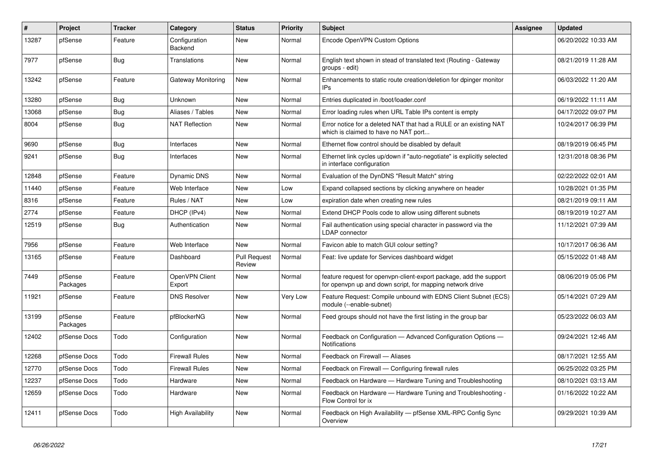| #     | Project             | <b>Tracker</b> | Category                 | <b>Status</b>                 | <b>Priority</b> | <b>Subject</b>                                                                                                                  | <b>Assignee</b> | <b>Updated</b>      |
|-------|---------------------|----------------|--------------------------|-------------------------------|-----------------|---------------------------------------------------------------------------------------------------------------------------------|-----------------|---------------------|
| 13287 | pfSense             | Feature        | Configuration<br>Backend | New                           | Normal          | Encode OpenVPN Custom Options                                                                                                   |                 | 06/20/2022 10:33 AM |
| 7977  | pfSense             | <b>Bug</b>     | Translations             | New                           | Normal          | English text shown in stead of translated text (Routing - Gateway<br>groups - edit)                                             |                 | 08/21/2019 11:28 AM |
| 13242 | pfSense             | Feature        | Gateway Monitoring       | <b>New</b>                    | Normal          | Enhancements to static route creation/deletion for dpinger monitor<br><b>IPs</b>                                                |                 | 06/03/2022 11:20 AM |
| 13280 | pfSense             | <b>Bug</b>     | Unknown                  | New                           | Normal          | Entries duplicated in /boot/loader.conf                                                                                         |                 | 06/19/2022 11:11 AM |
| 13068 | pfSense             | <b>Bug</b>     | Aliases / Tables         | <b>New</b>                    | Normal          | Error loading rules when URL Table IPs content is empty                                                                         |                 | 04/17/2022 09:07 PM |
| 8004  | pfSense             | <b>Bug</b>     | <b>NAT Reflection</b>    | New                           | Normal          | Error notice for a deleted NAT that had a RULE or an existing NAT<br>which is claimed to have no NAT port                       |                 | 10/24/2017 06:39 PM |
| 9690  | pfSense             | <b>Bug</b>     | Interfaces               | New                           | Normal          | Ethernet flow control should be disabled by default                                                                             |                 | 08/19/2019 06:45 PM |
| 9241  | pfSense             | <b>Bug</b>     | Interfaces               | New                           | Normal          | Ethernet link cycles up/down if "auto-negotiate" is explicitly selected<br>in interface configuration                           |                 | 12/31/2018 08:36 PM |
| 12848 | pfSense             | Feature        | <b>Dynamic DNS</b>       | <b>New</b>                    | Normal          | Evaluation of the DynDNS "Result Match" string                                                                                  |                 | 02/22/2022 02:01 AM |
| 11440 | pfSense             | Feature        | Web Interface            | New                           | Low             | Expand collapsed sections by clicking anywhere on header                                                                        |                 | 10/28/2021 01:35 PM |
| 8316  | pfSense             | Feature        | Rules / NAT              | New                           | Low             | expiration date when creating new rules                                                                                         |                 | 08/21/2019 09:11 AM |
| 2774  | pfSense             | Feature        | DHCP (IPv4)              | New                           | Normal          | Extend DHCP Pools code to allow using different subnets                                                                         |                 | 08/19/2019 10:27 AM |
| 12519 | pfSense             | <b>Bug</b>     | Authentication           | New                           | Normal          | Fail authentication using special character in password via the<br><b>LDAP</b> connector                                        |                 | 11/12/2021 07:39 AM |
| 7956  | pfSense             | Feature        | Web Interface            | <b>New</b>                    | Normal          | Favicon able to match GUI colour setting?                                                                                       |                 | 10/17/2017 06:36 AM |
| 13165 | pfSense             | Feature        | Dashboard                | <b>Pull Request</b><br>Review | Normal          | Feat: live update for Services dashboard widget                                                                                 |                 | 05/15/2022 01:48 AM |
| 7449  | pfSense<br>Packages | Feature        | OpenVPN Client<br>Export | <b>New</b>                    | Normal          | feature request for openvpn-client-export package, add the support<br>for openvpn up and down script, for mapping network drive |                 | 08/06/2019 05:06 PM |
| 11921 | pfSense             | Feature        | <b>DNS Resolver</b>      | New                           | Very Low        | Feature Request: Compile unbound with EDNS Client Subnet (ECS)<br>module (--enable-subnet)                                      |                 | 05/14/2021 07:29 AM |
| 13199 | pfSense<br>Packages | Feature        | pfBlockerNG              | <b>New</b>                    | Normal          | Feed groups should not have the first listing in the group bar                                                                  |                 | 05/23/2022 06:03 AM |
| 12402 | pfSense Docs        | Todo           | Configuration            | <b>New</b>                    | Normal          | Feedback on Configuration - Advanced Configuration Options -<br><b>Notifications</b>                                            |                 | 09/24/2021 12:46 AM |
| 12268 | pfSense Docs        | Todo           | <b>Firewall Rules</b>    | <b>New</b>                    | Normal          | Feedback on Firewall - Aliases                                                                                                  |                 | 08/17/2021 12:55 AM |
| 12770 | pfSense Docs        | Todo           | <b>Firewall Rules</b>    | New                           | Normal          | Feedback on Firewall — Configuring firewall rules                                                                               |                 | 06/25/2022 03:25 PM |
| 12237 | pfSense Docs        | Todo           | Hardware                 | New                           | Normal          | Feedback on Hardware - Hardware Tuning and Troubleshooting                                                                      |                 | 08/10/2021 03:13 AM |
| 12659 | pfSense Docs        | Todo           | Hardware                 | New                           | Normal          | Feedback on Hardware - Hardware Tuning and Troubleshooting -<br>Flow Control for ix                                             |                 | 01/16/2022 10:22 AM |
| 12411 | pfSense Docs        | Todo           | High Availability        | <b>New</b>                    | Normal          | Feedback on High Availability - pfSense XML-RPC Config Sync<br>Overview                                                         |                 | 09/29/2021 10:39 AM |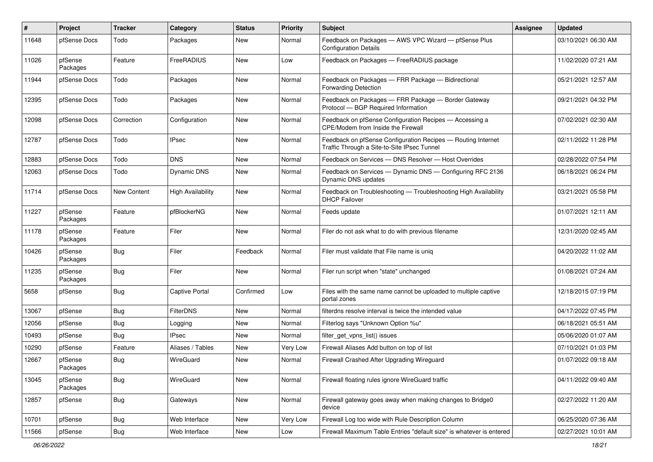| ∦     | Project             | <b>Tracker</b> | Category                 | <b>Status</b> | <b>Priority</b> | Subject                                                                                                     | Assignee | <b>Updated</b>      |
|-------|---------------------|----------------|--------------------------|---------------|-----------------|-------------------------------------------------------------------------------------------------------------|----------|---------------------|
| 11648 | pfSense Docs        | Todo           | Packages                 | New           | Normal          | Feedback on Packages - AWS VPC Wizard - pfSense Plus<br><b>Configuration Details</b>                        |          | 03/10/2021 06:30 AM |
| 11026 | pfSense<br>Packages | Feature        | FreeRADIUS               | <b>New</b>    | Low             | Feedback on Packages - FreeRADIUS package                                                                   |          | 11/02/2020 07:21 AM |
| 11944 | pfSense Docs        | Todo           | Packages                 | New           | Normal          | Feedback on Packages - FRR Package - Bidirectional<br><b>Forwarding Detection</b>                           |          | 05/21/2021 12:57 AM |
| 12395 | pfSense Docs        | Todo           | Packages                 | New           | Normal          | Feedback on Packages - FRR Package - Border Gateway<br>Protocol - BGP Required Information                  |          | 09/21/2021 04:32 PM |
| 12098 | pfSense Docs        | Correction     | Configuration            | New           | Normal          | Feedback on pfSense Configuration Recipes - Accessing a<br>CPE/Modem from Inside the Firewall               |          | 07/02/2021 02:30 AM |
| 12787 | pfSense Docs        | Todo           | <b>IPsec</b>             | New           | Normal          | Feedback on pfSense Configuration Recipes - Routing Internet<br>Traffic Through a Site-to-Site IPsec Tunnel |          | 02/11/2022 11:28 PM |
| 12883 | pfSense Docs        | Todo           | <b>DNS</b>               | <b>New</b>    | Normal          | Feedback on Services - DNS Resolver - Host Overrides                                                        |          | 02/28/2022 07:54 PM |
| 12063 | pfSense Docs        | Todo           | Dynamic DNS              | New           | Normal          | Feedback on Services - Dynamic DNS - Configuring RFC 2136<br>Dynamic DNS updates                            |          | 06/18/2021 06:24 PM |
| 11714 | pfSense Docs        | New Content    | <b>High Availability</b> | New           | Normal          | Feedback on Troubleshooting - Troubleshooting High Availability<br><b>DHCP Failover</b>                     |          | 03/21/2021 05:58 PM |
| 11227 | pfSense<br>Packages | Feature        | pfBlockerNG              | New           | Normal          | Feeds update                                                                                                |          | 01/07/2021 12:11 AM |
| 11178 | pfSense<br>Packages | Feature        | Filer                    | New           | Normal          | Filer do not ask what to do with previous filename                                                          |          | 12/31/2020 02:45 AM |
| 10426 | pfSense<br>Packages | <b>Bug</b>     | Filer                    | Feedback      | Normal          | Filer must validate that File name is uniq                                                                  |          | 04/20/2022 11:02 AM |
| 11235 | pfSense<br>Packages | <b>Bug</b>     | Filer                    | New           | Normal          | Filer run script when "state" unchanged                                                                     |          | 01/08/2021 07:24 AM |
| 5658  | pfSense             | Bug            | <b>Captive Portal</b>    | Confirmed     | Low             | Files with the same name cannot be uploaded to multiple captive<br>portal zones                             |          | 12/18/2015 07:19 PM |
| 13067 | pfSense             | <b>Bug</b>     | <b>FilterDNS</b>         | <b>New</b>    | Normal          | filterdns resolve interval is twice the intended value                                                      |          | 04/17/2022 07:45 PM |
| 12056 | pfSense             | Bug            | Logging                  | New           | Normal          | Filterlog says "Unknown Option %u"                                                                          |          | 06/18/2021 05:51 AM |
| 10493 | pfSense             | <b>Bug</b>     | <b>IPsec</b>             | <b>New</b>    | Normal          | filter_get_vpns_list() issues                                                                               |          | 05/06/2020 01:07 AM |
| 10290 | pfSense             | Feature        | Aliases / Tables         | New           | Very Low        | Firewall Aliases Add button on top of list                                                                  |          | 07/10/2021 01:03 PM |
| 12667 | pfSense<br>Packages | <b>Bug</b>     | WireGuard                | New           | Normal          | Firewall Crashed After Upgrading Wireguard                                                                  |          | 01/07/2022 09:18 AM |
| 13045 | pfSense<br>Packages | Bug            | WireGuard                | New           | Normal          | Firewall floating rules ignore WireGuard traffic                                                            |          | 04/11/2022 09:40 AM |
| 12857 | pfSense             | Bug            | Gateways                 | New           | Normal          | Firewall gateway goes away when making changes to Bridge0<br>device                                         |          | 02/27/2022 11:20 AM |
| 10701 | pfSense             | <b>Bug</b>     | Web Interface            | New           | Very Low        | Firewall Log too wide with Rule Description Column                                                          |          | 06/25/2020 07:36 AM |
| 11566 | pfSense             | Bug            | Web Interface            | New           | Low             | Firewall Maximum Table Entries "default size" is whatever is entered                                        |          | 02/27/2021 10:01 AM |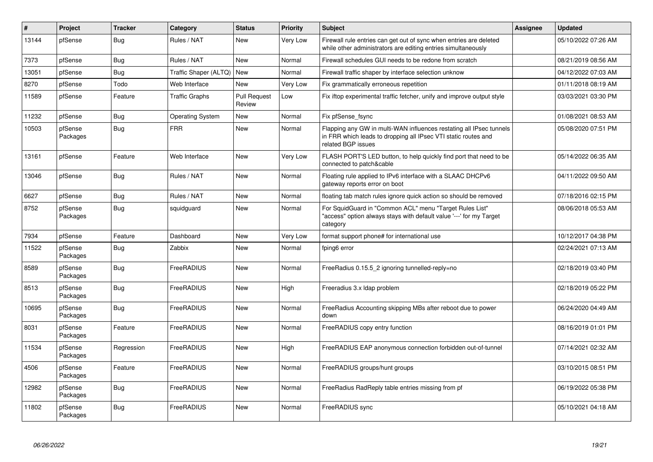| $\pmb{\#}$ | Project             | <b>Tracker</b> | Category                | <b>Status</b>                 | Priority        | <b>Subject</b>                                                                                                                                              | Assignee | <b>Updated</b>      |
|------------|---------------------|----------------|-------------------------|-------------------------------|-----------------|-------------------------------------------------------------------------------------------------------------------------------------------------------------|----------|---------------------|
| 13144      | pfSense             | Bug            | Rules / NAT             | <b>New</b>                    | <b>Very Low</b> | Firewall rule entries can get out of sync when entries are deleted<br>while other administrators are editing entries simultaneously                         |          | 05/10/2022 07:26 AM |
| 7373       | pfSense             | Bug            | Rules / NAT             | <b>New</b>                    | Normal          | Firewall schedules GUI needs to be redone from scratch                                                                                                      |          | 08/21/2019 08:56 AM |
| 13051      | pfSense             | <b>Bug</b>     | Traffic Shaper (ALTQ)   | New                           | Normal          | Firewall traffic shaper by interface selection unknow                                                                                                       |          | 04/12/2022 07:03 AM |
| 8270       | pfSense             | Todo           | Web Interface           | New                           | Very Low        | Fix grammatically erroneous repetition                                                                                                                      |          | 01/11/2018 08:19 AM |
| 11589      | pfSense             | Feature        | <b>Traffic Graphs</b>   | <b>Pull Request</b><br>Review | Low             | Fix iftop experimental traffic fetcher, unify and improve output style                                                                                      |          | 03/03/2021 03:30 PM |
| 11232      | pfSense             | <b>Bug</b>     | <b>Operating System</b> | <b>New</b>                    | Normal          | Fix pfSense_fsync                                                                                                                                           |          | 01/08/2021 08:53 AM |
| 10503      | pfSense<br>Packages | Bug            | <b>FRR</b>              | <b>New</b>                    | Normal          | Flapping any GW in multi-WAN influences restating all IPsec tunnels<br>in FRR which leads to dropping all IPsec VTI static routes and<br>related BGP issues |          | 05/08/2020 07:51 PM |
| 13161      | pfSense             | Feature        | Web Interface           | <b>New</b>                    | Very Low        | FLASH PORT'S LED button, to help quickly find port that need to be<br>connected to patch&cable                                                              |          | 05/14/2022 06:35 AM |
| 13046      | pfSense             | Bug            | Rules / NAT             | <b>New</b>                    | Normal          | Floating rule applied to IPv6 interface with a SLAAC DHCPv6<br>gateway reports error on boot                                                                |          | 04/11/2022 09:50 AM |
| 6627       | pfSense             | Bug            | Rules / NAT             | New                           | Normal          | floating tab match rules ignore quick action so should be removed                                                                                           |          | 07/18/2016 02:15 PM |
| 8752       | pfSense<br>Packages | Bug            | squidguard              | <b>New</b>                    | Normal          | For SquidGuard in "Common ACL" menu "Target Rules List"<br>"access" option always stays with default value '---' for my Target<br>category                  |          | 08/06/2018 05:53 AM |
| 7934       | pfSense             | Feature        | Dashboard               | <b>New</b>                    | Very Low        | format support phone# for international use                                                                                                                 |          | 10/12/2017 04:38 PM |
| 11522      | pfSense<br>Packages | <b>Bug</b>     | Zabbix                  | New                           | Normal          | fping6 error                                                                                                                                                |          | 02/24/2021 07:13 AM |
| 8589       | pfSense<br>Packages | <b>Bug</b>     | FreeRADIUS              | New                           | Normal          | FreeRadius 0.15.5 2 ignoring tunnelled-reply=no                                                                                                             |          | 02/18/2019 03:40 PM |
| 8513       | pfSense<br>Packages | Bug            | FreeRADIUS              | New                           | High            | Freeradius 3.x Idap problem                                                                                                                                 |          | 02/18/2019 05:22 PM |
| 10695      | pfSense<br>Packages | <b>Bug</b>     | FreeRADIUS              | <b>New</b>                    | Normal          | FreeRadius Accounting skipping MBs after reboot due to power<br>down                                                                                        |          | 06/24/2020 04:49 AM |
| 8031       | pfSense<br>Packages | Feature        | FreeRADIUS              | <b>New</b>                    | Normal          | FreeRADIUS copy entry function                                                                                                                              |          | 08/16/2019 01:01 PM |
| 11534      | pfSense<br>Packages | Regression     | FreeRADIUS              | <b>New</b>                    | High            | FreeRADIUS EAP anonymous connection forbidden out-of-tunnel                                                                                                 |          | 07/14/2021 02:32 AM |
| 4506       | pfSense<br>Packages | Feature        | FreeRADIUS              | <b>New</b>                    | Normal          | FreeRADIUS groups/hunt groups                                                                                                                               |          | 03/10/2015 08:51 PM |
| 12982      | pfSense<br>Packages | <b>Bug</b>     | FreeRADIUS              | New                           | Normal          | FreeRadius RadReply table entries missing from pf                                                                                                           |          | 06/19/2022 05:38 PM |
| 11802      | pfSense<br>Packages | <b>Bug</b>     | FreeRADIUS              | <b>New</b>                    | Normal          | FreeRADIUS sync                                                                                                                                             |          | 05/10/2021 04:18 AM |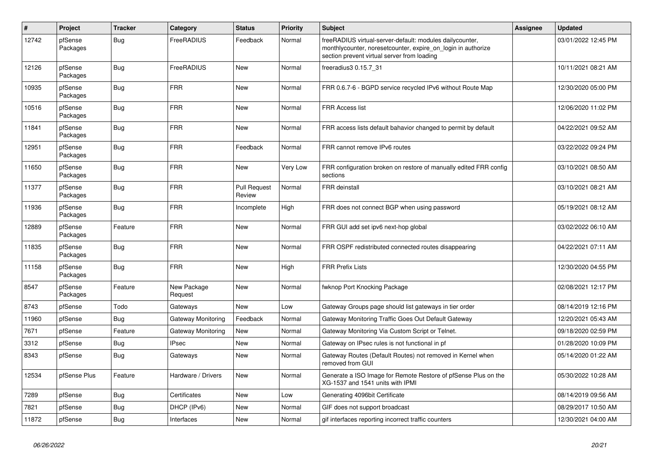| $\vert$ # | <b>Project</b>      | <b>Tracker</b> | Category                  | <b>Status</b>                 | <b>Priority</b> | <b>Subject</b>                                                                                                                                                          | Assignee | Updated             |
|-----------|---------------------|----------------|---------------------------|-------------------------------|-----------------|-------------------------------------------------------------------------------------------------------------------------------------------------------------------------|----------|---------------------|
| 12742     | pfSense<br>Packages | Bug            | FreeRADIUS                | Feedback                      | Normal          | freeRADIUS virtual-server-default: modules dailycounter,<br>monthlycounter, noresetcounter, expire_on_login in authorize<br>section prevent virtual server from loading |          | 03/01/2022 12:45 PM |
| 12126     | pfSense<br>Packages | Bug            | FreeRADIUS                | <b>New</b>                    | Normal          | freeradius3 0.15.7_31                                                                                                                                                   |          | 10/11/2021 08:21 AM |
| 10935     | pfSense<br>Packages | Bug            | <b>FRR</b>                | New                           | Normal          | FRR 0.6.7-6 - BGPD service recycled IPv6 without Route Map                                                                                                              |          | 12/30/2020 05:00 PM |
| 10516     | pfSense<br>Packages | <b>Bug</b>     | <b>FRR</b>                | <b>New</b>                    | Normal          | <b>FRR Access list</b>                                                                                                                                                  |          | 12/06/2020 11:02 PM |
| 11841     | pfSense<br>Packages | <b>Bug</b>     | <b>FRR</b>                | New                           | Normal          | FRR access lists default bahavior changed to permit by default                                                                                                          |          | 04/22/2021 09:52 AM |
| 12951     | pfSense<br>Packages | Bug            | <b>FRR</b>                | Feedback                      | Normal          | FRR cannot remove IPv6 routes                                                                                                                                           |          | 03/22/2022 09:24 PM |
| 11650     | pfSense<br>Packages | <b>Bug</b>     | <b>FRR</b>                | <b>New</b>                    | Very Low        | FRR configuration broken on restore of manually edited FRR config<br>sections                                                                                           |          | 03/10/2021 08:50 AM |
| 11377     | pfSense<br>Packages | Bug            | <b>FRR</b>                | <b>Pull Request</b><br>Review | Normal          | <b>FRR</b> deinstall                                                                                                                                                    |          | 03/10/2021 08:21 AM |
| 11936     | pfSense<br>Packages | Bug            | <b>FRR</b>                | Incomplete                    | High            | FRR does not connect BGP when using password                                                                                                                            |          | 05/19/2021 08:12 AM |
| 12889     | pfSense<br>Packages | Feature        | <b>FRR</b>                | New                           | Normal          | FRR GUI add set ipv6 next-hop global                                                                                                                                    |          | 03/02/2022 06:10 AM |
| 11835     | pfSense<br>Packages | <b>Bug</b>     | <b>FRR</b>                | <b>New</b>                    | Normal          | FRR OSPF redistributed connected routes disappearing                                                                                                                    |          | 04/22/2021 07:11 AM |
| 11158     | pfSense<br>Packages | <b>Bug</b>     | <b>FRR</b>                | <b>New</b>                    | High            | <b>FRR Prefix Lists</b>                                                                                                                                                 |          | 12/30/2020 04:55 PM |
| 8547      | pfSense<br>Packages | Feature        | New Package<br>Request    | New                           | Normal          | fwknop Port Knocking Package                                                                                                                                            |          | 02/08/2021 12:17 PM |
| 8743      | pfSense             | Todo           | Gateways                  | New                           | Low             | Gateway Groups page should list gateways in tier order                                                                                                                  |          | 08/14/2019 12:16 PM |
| 11960     | pfSense             | Bug            | <b>Gateway Monitoring</b> | Feedback                      | Normal          | Gateway Monitoring Traffic Goes Out Default Gateway                                                                                                                     |          | 12/20/2021 05:43 AM |
| 7671      | pfSense             | Feature        | Gateway Monitoring        | New                           | Normal          | Gateway Monitoring Via Custom Script or Telnet.                                                                                                                         |          | 09/18/2020 02:59 PM |
| 3312      | pfSense             | Bug            | <b>IPsec</b>              | New                           | Normal          | Gateway on IPsec rules is not functional in pf                                                                                                                          |          | 01/28/2020 10:09 PM |
| 8343      | pfSense             | Bug            | Gateways                  | New                           | Normal          | Gateway Routes (Default Routes) not removed in Kernel when<br>removed from GUI                                                                                          |          | 05/14/2020 01:22 AM |
| 12534     | pfSense Plus        | Feature        | Hardware / Drivers        | New                           | Normal          | Generate a ISO Image for Remote Restore of pfSense Plus on the<br>XG-1537 and 1541 units with IPMI                                                                      |          | 05/30/2022 10:28 AM |
| 7289      | pfSense             | <b>Bug</b>     | Certificates              | New                           | Low             | Generating 4096bit Certificate                                                                                                                                          |          | 08/14/2019 09:56 AM |
| 7821      | pfSense             | Bug            | DHCP (IPv6)               | <b>New</b>                    | Normal          | GIF does not support broadcast                                                                                                                                          |          | 08/29/2017 10:50 AM |
| 11872     | pfSense             | <b>Bug</b>     | Interfaces                | New                           | Normal          | gif interfaces reporting incorrect traffic counters                                                                                                                     |          | 12/30/2021 04:00 AM |